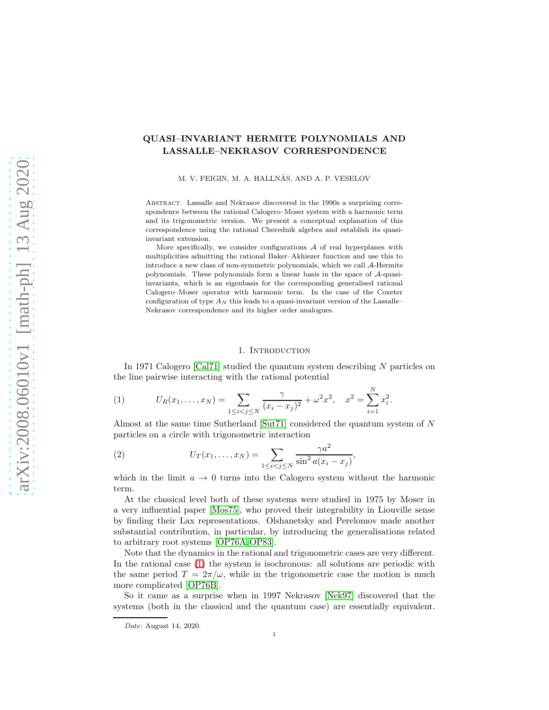# QUASI–INVARIANT HERMITE POLYNOMIALS AND LASSALLE–NEKRASOV CORRESPONDENCE

M. V. FEIGIN, M. A. HALLNÄS, AND A. P. VESELOV

Abstract. Lassalle and Nekrasov discovered in the 1990s a surprising correspondence between the rational Calogero–Moser system with a harmonic term and its trigonometric version. We present a conceptual explanation of this correspondence using the rational Cherednik algebra and establish its quasiinvariant extension.

More specifically, we consider configurations  $A$  of real hyperplanes with multiplicities admitting the rational Baker–Akhiezer function and use this to introduce a new class of non-symmetric polynomials, which we call A-Hermite polynomials. These polynomials form a linear basis in the space of A-quasiinvariants, which is an eigenbasis for the corresponding generalised rational Calogero–Moser operator with harmonic term. In the case of the Coxeter configuration of type  $A_N$  this leads to a quasi-invariant version of the Lassalle– Nekrasov correspondence and its higher order analogues.

#### 1. INTRODUCTION

In 1971 Calogero [\[Cal71\]](#page-29-0) studied the quantum system describing N particles on the line pairwise interacting with the rational potential

<span id="page-0-0"></span>(1) 
$$
U_R(x_1,\ldots,x_N) = \sum_{1 \leq i < j \leq N} \frac{\gamma}{(x_i - x_j)^2} + \omega^2 x^2, \quad x^2 = \sum_{i=1}^N x_i^2.
$$

Almost at the same time Sutherland [\[Sut71\]](#page-30-0) considered the quantum system of N particles on a circle with trigonometric interaction

<span id="page-0-1"></span>(2) 
$$
U_T(x_1,...,x_N) = \sum_{1 \le i < j \le N} \frac{\gamma a^2}{\sin^2 a (x_i - x_j)},
$$

which in the limit  $a \to 0$  turns into the Calogero system without the harmonic term.

At the classical level both of these systems were studied in 1975 by Moser in a very influential paper [\[Mos75\]](#page-30-1), who proved their integrability in Liouville sense by finding their Lax representations. Olshanetsky and Perelomov made another substantial contribution, in particular, by introducing the generalisations related to arbitrary root systems [\[OP76A,](#page-30-2) [OP83\]](#page-30-3).

Note that the dynamics in the rational and trigonometric cases are very different. In the rational case [\(1\)](#page-0-0) the system is isochronous: all solutions are periodic with the same period  $T = 2\pi/\omega$ , while in the trigonometric case the motion is much more complicated [\[OP76B\]](#page-30-4).

So it came as a surprise when in 1997 Nekrasov [\[Nek97\]](#page-30-5) discovered that the systems (both in the classical and the quantum case) are essentially equivalent.

Date: August 14, 2020.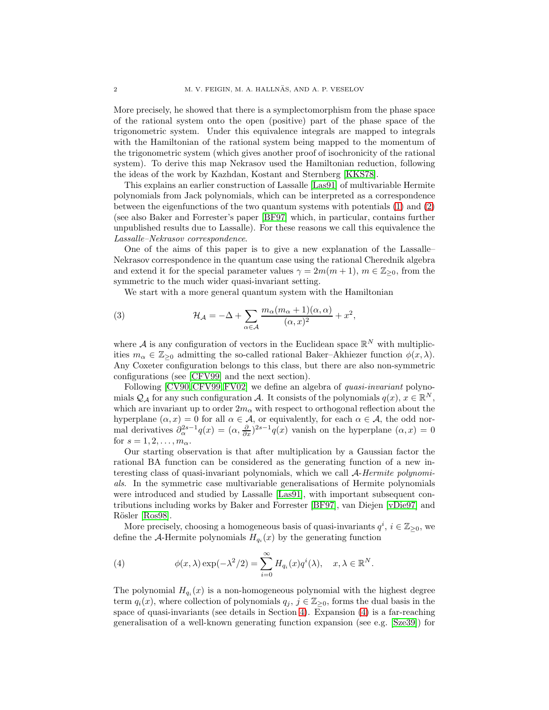More precisely, he showed that there is a symplectomorphism from the phase space of the rational system onto the open (positive) part of the phase space of the trigonometric system. Under this equivalence integrals are mapped to integrals with the Hamiltonian of the rational system being mapped to the momentum of the trigonometric system (which gives another proof of isochronicity of the rational system). To derive this map Nekrasov used the Hamiltonian reduction, following the ideas of the work by Kazhdan, Kostant and Sternberg [\[KKS78\]](#page-30-6).

This explains an earlier construction of Lassalle [\[Las91\]](#page-30-7) of multivariable Hermite polynomials from Jack polynomials, which can be interpreted as a correspondence between the eigenfunctions of the two quantum systems with potentials [\(1\)](#page-0-0) and [\(2\)](#page-0-1) (see also Baker and Forrester's paper [\[BF97\]](#page-28-0) which, in particular, contains further unpublished results due to Lassalle). For these reasons we call this equivalence the Lassalle–Nekrasov correspondence.

One of the aims of this paper is to give a new explanation of the Lassalle– Nekrasov correspondence in the quantum case using the rational Cherednik algebra and extend it for the special parameter values  $\gamma = 2m(m + 1)$ ,  $m \in \mathbb{Z}_{\geq 0}$ , from the symmetric to the much wider quasi-invariant setting.

<span id="page-1-1"></span>We start with a more general quantum system with the Hamiltonian

(3) 
$$
\mathcal{H}_{\mathcal{A}} = -\Delta + \sum_{\alpha \in \mathcal{A}} \frac{m_{\alpha}(m_{\alpha} + 1)(\alpha, \alpha)}{(\alpha, x)^2} + x^2,
$$

where A is any configuration of vectors in the Euclidean space  $\mathbb{R}^N$  with multiplicities  $m_{\alpha} \in \mathbb{Z}_{\geq 0}$  admitting the so-called rational Baker–Akhiezer function  $\phi(x, \lambda)$ . Any Coxeter configuration belongs to this class, but there are also non-symmetric configurations (see [\[CFV99\]](#page-29-1) and the next section).

Following [\[CV90,](#page-29-2) [CFV99,](#page-29-1) [FV02\]](#page-29-3) we define an algebra of *quasi-invariant* polynomials  $\mathcal{Q}_{\mathcal{A}}$  for any such configuration  $\mathcal{A}$ . It consists of the polynomials  $q(x), x \in \mathbb{R}^N$ , which are invariant up to order  $2m_{\alpha}$  with respect to orthogonal reflection about the hyperplane  $(\alpha, x) = 0$  for all  $\alpha \in A$ , or equivalently, for each  $\alpha \in A$ , the odd normal derivatives  $\partial_{\alpha}^{2s-1}q(x) = (\alpha, \frac{\partial}{\partial x})^{2s-1}q(x)$  vanish on the hyperplane  $(\alpha, x) = 0$ for  $s = 1, 2, \ldots, m_{\alpha}$ .

Our starting observation is that after multiplication by a Gaussian factor the rational BA function can be considered as the generating function of a new interesting class of quasi-invariant polynomials, which we call A-Hermite polynomials. In the symmetric case multivariable generalisations of Hermite polynomials were introduced and studied by Lassalle [\[Las91\]](#page-30-7), with important subsequent contributions including works by Baker and Forrester [\[BF97\]](#page-28-0), van Diejen [\[vDie97\]](#page-29-4) and Rösler [\[Ros98\]](#page-30-8).

More precisely, choosing a homogeneous basis of quasi-invariants  $q^i$ ,  $i \in \mathbb{Z}_{\geq 0}$ , we define the A-Hermite polynomials  $H_{q_i}(x)$  by the generating function

<span id="page-1-0"></span>(4) 
$$
\phi(x,\lambda) \exp(-\lambda^2/2) = \sum_{i=0}^{\infty} H_{q_i}(x) q^i(\lambda), \quad x, \lambda \in \mathbb{R}^N.
$$

The polynomial  $H_{q_i}(x)$  is a non-homogeneous polynomial with the highest degree term  $q_i(x)$ , where collection of polynomials  $q_j, j \in \mathbb{Z}_{\geq 0}$ , forms the dual basis in the space of quasi-invariants (see details in Section [4\)](#page-8-0). Expansion [\(4\)](#page-1-0) is a far-reaching generalisation of a well-known generating function expansion (see e.g. [\[Sze39\]](#page-30-9)) for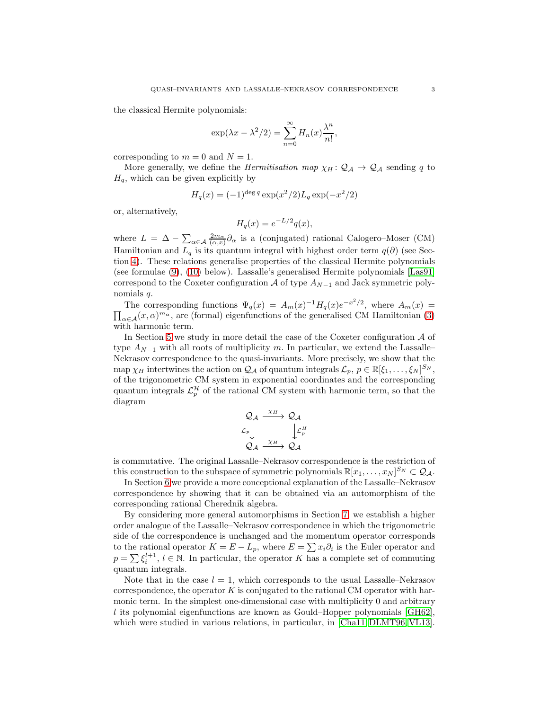the classical Hermite polynomials:

$$
\exp(\lambda x - \lambda^2/2) = \sum_{n=0}^{\infty} H_n(x) \frac{\lambda^n}{n!},
$$

corresponding to  $m = 0$  and  $N = 1$ .

More generally, we define the *Hermitisation map*  $\chi_H : \mathcal{Q}_A \to \mathcal{Q}_A$  sending q to  $H_q$ , which can be given explicitly by

$$
H_q(x) = (-1)^{\deg q} \exp(x^2/2) L_q \exp(-x^2/2)
$$

or, alternatively,

$$
H_q(x) = e^{-L/2}q(x),
$$

where  $L = \Delta - \sum_{\alpha \in A} \frac{2m_{\alpha}}{(\alpha, x)} \partial_{\alpha}$  is a (conjugated) rational Calogero–Moser (CM) Hamiltonian and  $L_q$  is its quantum integral with highest order term  $q(\partial)$  (see Section [4\)](#page-8-0). These relations generalise properties of the classical Hermite polynomials (see formulae [\(9\)](#page-4-0), [\(10\)](#page-4-1) below). Lassalle's generalised Hermite polynomials [\[Las91\]](#page-30-7) correspond to the Coxeter configuration  $A$  of type  $A_{N-1}$  and Jack symmetric polynomials q.

The corresponding functions  $\Psi_q(x) = A_m(x)^{-1} H_q(x) e^{-x^2/2}$ , where  $A_m(x) =$  $\prod_{\alpha \in A}(x, \alpha)^{m_{\alpha}}$ , are (formal) eigenfunctions of the generalised CM Hamiltonian [\(3\)](#page-1-1) with harmonic term.

In Section [5](#page-12-0) we study in more detail the case of the Coxeter configuration  $A$  of type  $A_{N-1}$  with all roots of multiplicity m. In particular, we extend the Lassalle– Nekrasov correspondence to the quasi-invariants. More precisely, we show that the map  $\chi_H$  intertwines the action on  $\mathcal{Q}_\mathcal{A}$  of quantum integrals  $\mathcal{L}_p, p \in \mathbb{R}[\xi_1, \ldots, \xi_N]^{S_N}$ , of the trigonometric CM system in exponential coordinates and the corresponding quantum integrals  $\mathcal{L}_p^{\mathcal{H}}$  of the rational CM system with harmonic term, so that the diagram

$$
\begin{array}{ccc}\n\mathcal{Q}_{\mathcal{A}} & \xrightarrow{\chi_{H}} & \mathcal{Q}_{\mathcal{A}} \\
\mathcal{L}_{p} & & \downarrow \mathcal{L}_{p}^{H} \\
\mathcal{Q}_{\mathcal{A}} & \xrightarrow{\chi_{H}} & \mathcal{Q}_{\mathcal{A}}\n\end{array}
$$

is commutative. The original Lassalle–Nekrasov correspondence is the restriction of this construction to the subspace of symmetric polynomials  $\mathbb{R}[x_1,\ldots,x_N]^{S_N} \subset \mathcal{Q}_\mathcal{A}$ .

In Section [6](#page-18-0) we provide a more conceptional explanation of the Lassalle–Nekrasov correspondence by showing that it can be obtained via an automorphism of the corresponding rational Cherednik algebra.

By considering more general automorphisms in Section [7,](#page-20-0) we establish a higher order analogue of the Lassalle–Nekrasov correspondence in which the trigonometric side of the correspondence is unchanged and the momentum operator corresponds to the rational operator  $K = E - L_p$ , where  $E = \sum x_i \partial_i$  is the Euler operator and  $p = \sum \xi_i^{l+1}, l \in \mathbb{N}$ . In particular, the operator K has a complete set of commuting quantum integrals.

Note that in the case  $l = 1$ , which corresponds to the usual Lassalle–Nekrasov correspondence, the operator  $K$  is conjugated to the rational CM operator with harmonic term. In the simplest one-dimensional case with multiplicity 0 and arbitrary l its polynomial eigenfunctions are known as Gould–Hopper polynomials  $|GH62|$ , which were studied in various relations, in particular, in [\[Cha11,](#page-29-5) [DLMT96,](#page-29-6) [VL13\]](#page-30-11).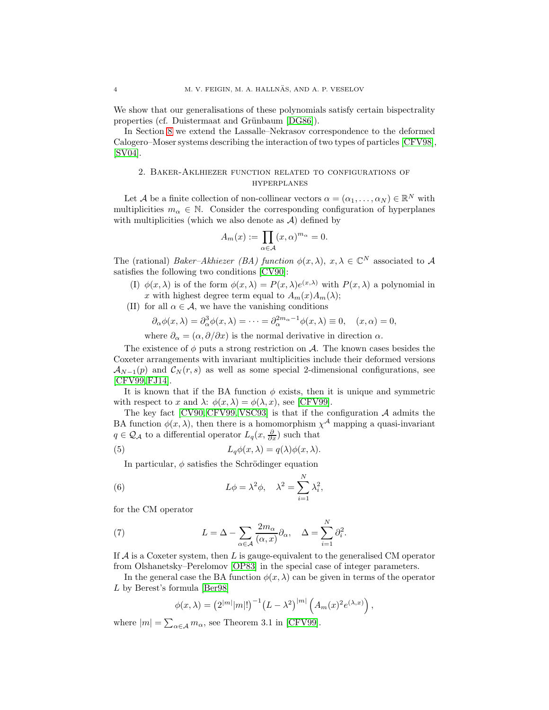We show that our generalisations of these polynomials satisfy certain bispectrality properties (cf. Duistermaat and Grünbaum [\[DG86\]](#page-29-7)).

In Section [8](#page-24-0) we extend the Lassalle–Nekrasov correspondence to the deformed Calogero–Moser systems describing the interaction of two types of particles [\[CFV98\]](#page-29-8), [\[SV04\]](#page-30-12).

# 2. Baker-Aklhiezer function related to configurations of hyperplanes

Let A be a finite collection of non-collinear vectors  $\alpha = (\alpha_1, \dots, \alpha_N) \in \mathbb{R}^N$  with multiplicities  $m_{\alpha} \in \mathbb{N}$ . Consider the corresponding configuration of hyperplanes with multiplicities (which we also denote as  $A$ ) defined by

$$
A_m(x) := \prod_{\alpha \in \mathcal{A}} (x, \alpha)^{m_\alpha} = 0.
$$

The (rational) Baker–Akhiezer (BA) function  $\phi(x, \lambda), x, \lambda \in \mathbb{C}^N$  associated to A satisfies the following two conditions [\[CV90\]](#page-29-2):

- (I)  $\phi(x,\lambda)$  is of the form  $\phi(x,\lambda) = P(x,\lambda)e^{(x,\lambda)}$  with  $P(x,\lambda)$  a polynomial in x with highest degree term equal to  $A_m(x)A_m(\lambda);$
- (II) for all  $\alpha \in \mathcal{A}$ , we have the vanishing conditions

$$
\partial_{\alpha}\phi(x,\lambda) = \partial_{\alpha}^{3}\phi(x,\lambda) = \cdots = \partial_{\alpha}^{2m_{\alpha}-1}\phi(x,\lambda) \equiv 0, \quad (x,\alpha) = 0,
$$

where  $\partial_{\alpha} = (\alpha, \partial/\partial x)$  is the normal derivative in direction  $\alpha$ .

The existence of  $\phi$  puts a strong restriction on A. The known cases besides the Coxeter arrangements with invariant multiplicities include their deformed versions  $\mathcal{A}_{N-1}(p)$  and  $\mathcal{C}_N(r,s)$  as well as some special 2-dimensional configurations, see [\[CFV99,](#page-29-1) [FJ14\]](#page-29-9).

It is known that if the BA function  $\phi$  exists, then it is unique and symmetric with respect to x and  $\lambda: \phi(x, \lambda) = \phi(\lambda, x)$ , see [\[CFV99\]](#page-29-1).

The key fact  $[CV90, CFV99, VSC93]$  $[CV90, CFV99, VSC93]$  $[CV90, CFV99, VSC93]$  is that if the configuration  $A$  admits the BA function  $\phi(x, \lambda)$ , then there is a homomorphism  $\chi^{\mathcal{A}}$  mapping a quasi-invariant  $q \in \mathcal{Q}_{\mathcal{A}}$  to a differential operator  $L_q(x, \frac{\partial}{\partial x})$  such that

(5) 
$$
L_q \phi(x, \lambda) = q(\lambda) \phi(x, \lambda).
$$

<span id="page-3-2"></span><span id="page-3-1"></span>In particular,  $\phi$  satisfies the Schrödinger equation

(6) 
$$
L\phi = \lambda^2 \phi, \quad \lambda^2 = \sum_{i=1}^N \lambda_i^2,
$$

for the CM operator

(7) 
$$
L = \Delta - \sum_{\alpha \in \mathcal{A}} \frac{2m_{\alpha}}{(\alpha, x)} \partial_{\alpha}, \quad \Delta = \sum_{i=1}^{N} \partial_{i}^{2}.
$$

If  $A$  is a Coxeter system, then L is gauge-equivalent to the generalised CM operator from Olshanetsky–Perelomov [\[OP83\]](#page-30-3) in the special case of integer parameters.

In the general case the BA function  $\phi(x, \lambda)$  can be given in terms of the operator L by Berest's formula [\[Ber98\]](#page-28-1)

<span id="page-3-0"></span>
$$
\phi(x,\lambda) = (2^{|m|}|m|!)^{-1} (L - \lambda^2)^{|m|} (A_m(x)^2 e^{(\lambda,x)}),
$$

where  $|m| = \sum_{\alpha \in \mathcal{A}} m_{\alpha}$ , see Theorem 3.1 in [\[CFV99\]](#page-29-1).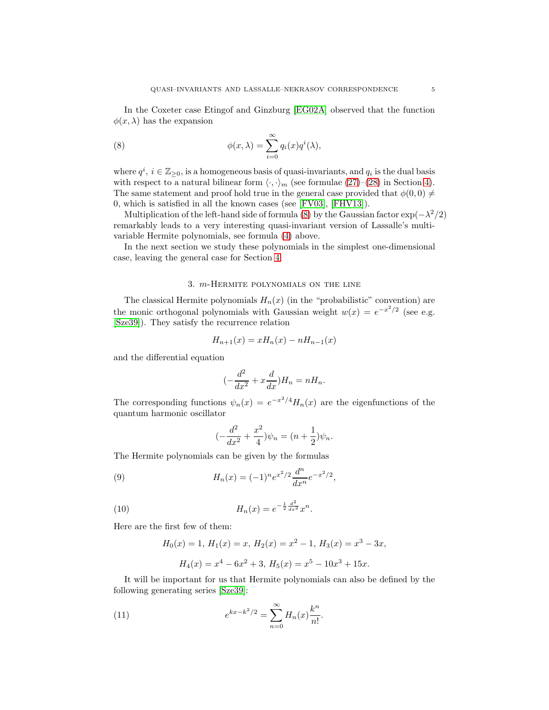In the Coxeter case Etingof and Ginzburg [\[EG02A\]](#page-29-10) observed that the function  $\phi(x, \lambda)$  has the expansion

<span id="page-4-2"></span>(8) 
$$
\phi(x,\lambda) = \sum_{i=0}^{\infty} q_i(x) q^i(\lambda),
$$

where  $q^i$ ,  $i \in \mathbb{Z}_{\geq 0}$ , is a homogeneous basis of quasi-invariants, and  $q_i$  is the dual basis with respect to a natural bilinear form  $\langle \cdot, \cdot \rangle_m$  (see formulae [\(27\)](#page-9-0)–[\(28\)](#page-9-1) in Section [4\)](#page-8-0). The same statement and proof hold true in the general case provided that  $\phi(0,0) \neq$ 0, which is satisfied in all the known cases (see [\[FV03\]](#page-29-11), [\[FHV13\]](#page-29-12)).

Multiplication of the left-hand side of formula [\(8\)](#page-4-2) by the Gaussian factor  $\exp(-\lambda^2/2)$ remarkably leads to a very interesting quasi-invariant version of Lassalle's multivariable Hermite polynomials, see formula [\(4\)](#page-1-0) above.

In the next section we study these polynomials in the simplest one-dimensional case, leaving the general case for Section [4.](#page-8-0)

## 3. m-Hermite polynomials on the line

<span id="page-4-4"></span>The classical Hermite polynomials  $H_n(x)$  (in the "probabilistic" convention) are the monic orthogonal polynomials with Gaussian weight  $w(x) = e^{-x^2/2}$  (see e.g. [\[Sze39\]](#page-30-9)). They satisfy the recurrence relation

$$
H_{n+1}(x) = xH_n(x) - nH_{n-1}(x)
$$

and the differential equation

$$
(-\frac{d^2}{dx^2} + x\frac{d}{dx})H_n = nH_n.
$$

The corresponding functions  $\psi_n(x) = e^{-x^2/4} H_n(x)$  are the eigenfunctions of the quantum harmonic oscillator

<span id="page-4-1"></span><span id="page-4-0"></span>
$$
(-\frac{d^2}{dx^2} + \frac{x^2}{4})\psi_n = (n + \frac{1}{2})\psi_n.
$$

The Hermite polynomials can be given by the formulas

(9) 
$$
H_n(x) = (-1)^n e^{x^2/2} \frac{d^n}{dx^n} e^{-x^2/2},
$$

(10) 
$$
H_n(x) = e^{-\frac{1}{2}\frac{d^2}{dx^2}}x^n.
$$

Here are the first few of them:

<span id="page-4-3"></span>
$$
H_0(x) = 1, H_1(x) = x, H_2(x) = x^2 - 1, H_3(x) = x^3 - 3x,
$$
  

$$
H_4(x) = x^4 - 6x^2 + 3, H_5(x) = x^5 - 10x^3 + 15x.
$$

It will be important for us that Hermite polynomials can also be defined by the following generating series [\[Sze39\]](#page-30-9):

(11) 
$$
e^{kx-k^2/2} = \sum_{n=0}^{\infty} H_n(x) \frac{k^n}{n!}.
$$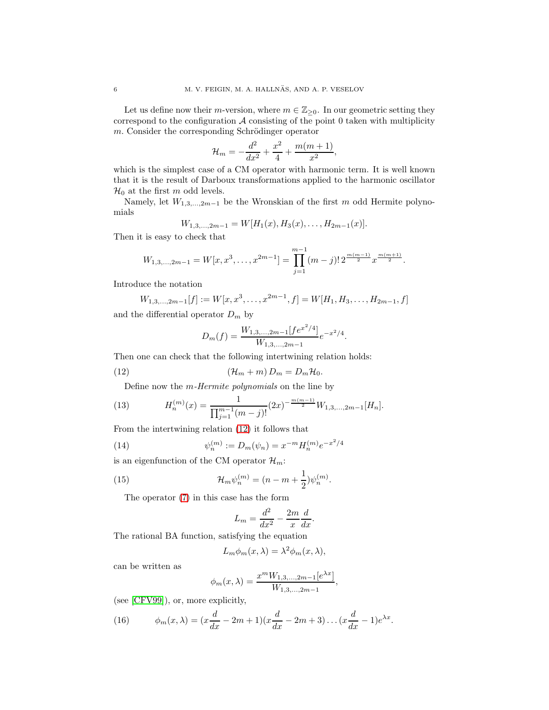Let us define now their *m*-version, where  $m \in \mathbb{Z}_{\geq 0}$ . In our geometric setting they correspond to the configuration  $A$  consisting of the point 0 taken with multiplicity  $m$ . Consider the corresponding Schrödinger operator

$$
\mathcal{H}_m = -\frac{d^2}{dx^2} + \frac{x^2}{4} + \frac{m(m+1)}{x^2},
$$

which is the simplest case of a CM operator with harmonic term. It is well known that it is the result of Darboux transformations applied to the harmonic oscillator  $\mathcal{H}_0$  at the first m odd levels.

Namely, let  $W_{1,3,\dots,2m-1}$  be the Wronskian of the first m odd Hermite polynomials

$$
W_{1,3,\dots,2m-1}=W[H_1(x),H_3(x),\dots,H_{2m-1}(x)].
$$

Then it is easy to check that

$$
W_{1,3,\dots,2m-1} = W[x,x^3,\dots,x^{2m-1}] = \prod_{j=1}^{m-1} (m-j)! \, 2^{\frac{m(m-1)}{2}} x^{\frac{m(m+1)}{2}}.
$$

Introduce the notation

$$
W_{1,3,\dots,2m-1}[f] := W[x,x^3,\dots,x^{2m-1},f] = W[H_1,H_3,\dots,H_{2m-1},f]
$$

and the differential operator  $D_m$  by

<span id="page-5-0"></span>
$$
D_m(f) = \frac{W_{1,3,\dots,2m-1}[fe^{x^2/4}]}{W_{1,3,\dots,2m-1}}e^{-x^2/4}
$$

.

Then one can check that the following intertwining relation holds:

(12) 
$$
(\mathcal{H}_m + m) D_m = D_m \mathcal{H}_0.
$$

<span id="page-5-1"></span>Define now the m-Hermite polynomials on the line by

(13) 
$$
H_n^{(m)}(x) = \frac{1}{\prod_{j=1}^{m-1} (m-j)!} (2x)^{-\frac{m(m-1)}{2}} W_{1,3,\dots,2m-1}[H_n].
$$

From the intertwining relation [\(12\)](#page-5-0) it follows that

(14) 
$$
\psi_n^{(m)} := D_m(\psi_n) = x^{-m} H_n^{(m)} e^{-x^2/4}
$$

is an eigenfunction of the CM operator  $\mathcal{H}_m$ :

(15) 
$$
\mathcal{H}_m \psi_n^{(m)} = (n - m + \frac{1}{2}) \psi_n^{(m)}.
$$

The operator [\(7\)](#page-3-0) in this case has the form

<span id="page-5-3"></span><span id="page-5-2"></span>
$$
L_m = \frac{d^2}{dx^2} - \frac{2m}{x} \frac{d}{dx}.
$$

The rational BA function, satisfying the equation

$$
L_m \phi_m(x, \lambda) = \lambda^2 \phi_m(x, \lambda),
$$

can be written as

$$
\phi_m(x,\lambda) = \frac{x^m W_{1,3,\dots,2m-1}[e^{\lambda x}]}{W_{1,3,\dots,2m-1}},
$$

(see [\[CFV99\]](#page-29-1)), or, more explicitly,

<span id="page-5-4"></span>(16) 
$$
\phi_m(x,\lambda) = (x\frac{d}{dx} - 2m + 1)(x\frac{d}{dx} - 2m + 3) \dots (x\frac{d}{dx} - 1)e^{\lambda x}.
$$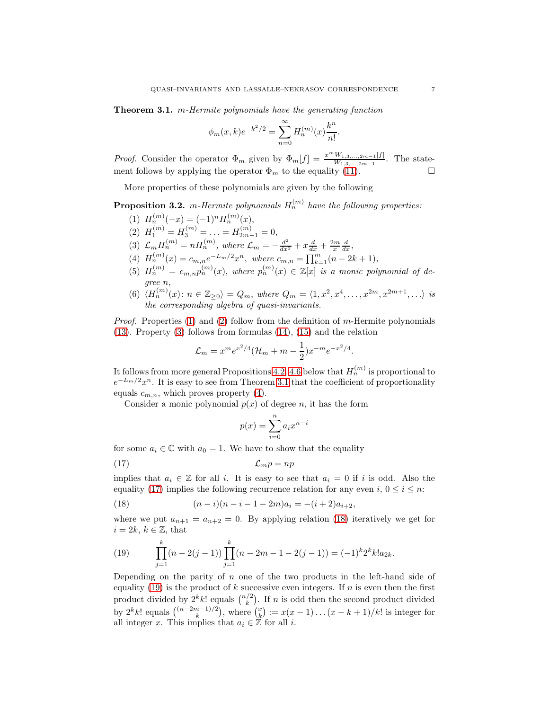<span id="page-6-3"></span>Theorem 3.1. m-Hermite polynomials have the generating function

$$
\phi_m(x,k)e^{-k^2/2} = \sum_{n=0}^{\infty} H_n^{(m)}(x)\frac{k^n}{n!}.
$$

*Proof.* Consider the operator  $\Phi_m$  given by  $\Phi_m[f] = \frac{x^m W_{1,3,\dots,2m-1}[f]}{W_{1,3,\dots,2m-1}}$ . The statement follows by applying the operator  $\Phi_m$  to the equality [\(11\)](#page-4-3).

More properties of these polynomials are given by the following

<span id="page-6-9"></span><span id="page-6-0"></span>**Proposition 3.2.** m-Hermite polynomials  $H_n^{(m)}$  have the following properties:

- <span id="page-6-1"></span>(1)  $H_n^{(m)}(-x) = (-1)^n H_n^{(m)}(x),$
- <span id="page-6-2"></span>(2)  $H_1^{(m)} = H_3^{(m)} = \ldots = H_{2m-1}^{(m)} = 0,$
- <span id="page-6-4"></span>(3)  $\mathcal{L}_m H_n^{(m)} = n H_n^{(m)}$ , where  $\mathcal{L}_m = -\frac{d^2}{dx^2} + x \frac{d}{dx} + \frac{2m}{x} \frac{d}{dx}$ ,
- <span id="page-6-8"></span>(4)  $H_n^{(m)}(x) = c_{m,n}e^{-L_m/2}x^n$ , where  $c_{m,n} = \prod_{k=1}^m (n-2k+1)$ ,
- (5)  $H_n^{(m)} = c_{m,n} p_n^{(m)}(x)$ , where  $p_n^{(m)}(x) \in \mathbb{Z}[x]$  is a monic polynomial of degree n,
- (6)  $\langle H_n^{(m)}(x) : n \in \mathbb{Z}_{\geq 0} \rangle = Q_m$ , where  $Q_m = \langle 1, x^2, x^4, \dots, x^{2m}, x^{2m+1}, \dots \rangle$  is the corresponding algebra of quasi-invariants.

Proof. Properties [\(1\)](#page-6-0) and [\(2\)](#page-6-1) follow from the definition of m-Hermite polynomials [\(13\)](#page-5-1). Property [\(3\)](#page-6-2) follows from formulas [\(14\)](#page-5-2), [\(15\)](#page-5-3) and the relation

$$
\mathcal{L}_m = x^m e^{x^2/4} (\mathcal{H}_m + m - \frac{1}{2}) x^{-m} e^{-x^2/4}.
$$

It follows from more general Propositions [4.2,](#page-10-0) [4.6](#page-11-0) below that  $H_n^{(m)}$  is proportional to  $e^{-L_m/2}x^n$ . It is easy to see from Theorem [3.1](#page-6-3) that the coefficient of proportionality equals  $c_{m,n}$ , which proves property [\(4\)](#page-6-4).

Consider a monic polynomial  $p(x)$  of degree n, it has the form

<span id="page-6-5"></span>
$$
p(x) = \sum_{i=0}^{n} a_i x^{n-i}
$$

for some  $a_i \in \mathbb{C}$  with  $a_0 = 1$ . We have to show that the equality

$$
(17)\t\t\t \t\t\t \mathcal{L}_m p = np
$$

implies that  $a_i \in \mathbb{Z}$  for all i. It is easy to see that  $a_i = 0$  if i is odd. Also the equality [\(17\)](#page-6-5) implies the following recurrence relation for any even i,  $0 \le i \le n$ :

<span id="page-6-6"></span>(18) 
$$
(n-i)(n-i-1-2m)a_i = -(i+2)a_{i+2},
$$

where we put  $a_{n+1} = a_{n+2} = 0$ . By applying relation [\(18\)](#page-6-6) iteratively we get for  $i = 2k, k \in \mathbb{Z}$ , that

<span id="page-6-7"></span>(19) 
$$
\prod_{j=1}^{k} (n-2(j-1)) \prod_{j=1}^{k} (n-2m-1-2(j-1)) = (-1)^{k} 2^{k} k! a_{2k}.
$$

Depending on the parity of  $n$  one of the two products in the left-hand side of equality [\(19\)](#page-6-7) is the product of k successive even integers. If n is even then the first product divided by  $2^k k!$  equals  $\binom{n/2}{k}$ . If n is odd then the second product divided by  $2^k k!$  equals  $\binom{(n-2m-1)/2}{k}$ , where  $\binom{x}{k} := x(x-1)\dots(x-k+1)/k!$  is integer for all integer x. This implies that  $a_i \in \mathbb{Z}$  for all i.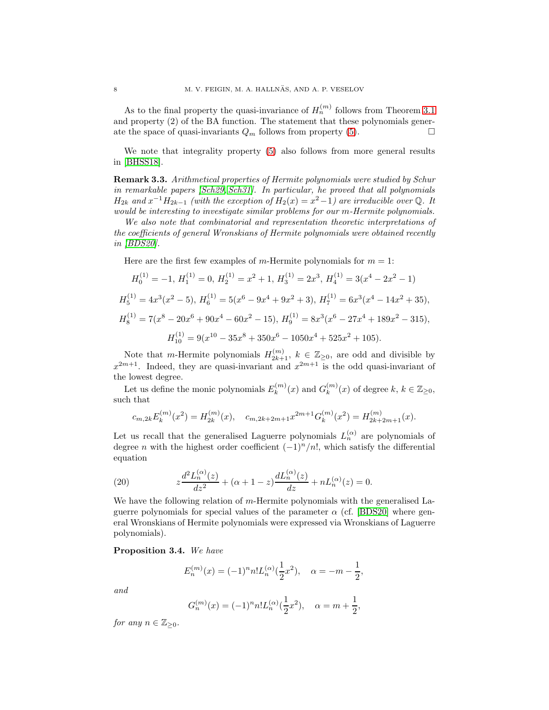As to the final property the quasi-invariance of  $H_n^{(m)}$  follows from Theorem [3.1](#page-6-3) and property (2) of the BA function. The statement that these polynomials generate the space of quasi-invariants  $Q_m$  follows from property [\(5\)](#page-6-8).

We note that integrality property [\(5\)](#page-6-8) also follows from more general results in [\[BHSS18\]](#page-29-13).

Remark 3.3. Arithmetical properties of Hermite polynomials were studied by Schur in remarkable papers [\[Sch29,](#page-30-14) [Sch31\]](#page-30-15). In particular, he proved that all polynomials  $H_{2k}$  and  $x^{-1}H_{2k-1}$  (with the exception of  $H_2(x) = x^2-1$ ) are irreducible over Q. It would be interesting to investigate similar problems for our m-Hermite polynomials.

We also note that combinatorial and representation theoretic interpretations of the coefficients of general Wronskians of Hermite polynomials were obtained recently in [\[BDS20\]](#page-29-14).

Here are the first few examples of m-Hermite polynomials for  $m = 1$ :

$$
H_0^{(1)} = -1, H_1^{(1)} = 0, H_2^{(1)} = x^2 + 1, H_3^{(1)} = 2x^3, H_4^{(1)} = 3(x^4 - 2x^2 - 1)
$$
  
\n
$$
H_5^{(1)} = 4x^3(x^2 - 5), H_6^{(1)} = 5(x^6 - 9x^4 + 9x^2 + 3), H_7^{(1)} = 6x^3(x^4 - 14x^2 + 35),
$$
  
\n
$$
H_8^{(1)} = 7(x^8 - 20x^6 + 90x^4 - 60x^2 - 15), H_9^{(1)} = 8x^3(x^6 - 27x^4 + 189x^2 - 315),
$$
  
\n
$$
H_{10}^{(1)} = 9(x^{10} - 35x^8 + 350x^6 - 1050x^4 + 525x^2 + 105).
$$

Note that m-Hermite polynomials  $H_{2k+1}^{(m)}$ ,  $k \in \mathbb{Z}_{\geq 0}$ , are odd and divisible by  $x^{2m+1}$ . Indeed, they are quasi-invariant and  $x^{2m+1}$  is the odd quasi-invariant of the lowest degree.

Let us define the monic polynomials  $E_k^{(m)}$  $g_k^{(m)}(x)$  and  $G_k^{(m)}$  $\binom{m}{k}(x)$  of degree  $k, k \in \mathbb{Z}_{\geq 0}$ , such that

$$
c_{m,2k}E_k^{(m)}(x^2) = H_{2k}^{(m)}(x), \quad c_{m,2k+2m+1}x^{2m+1}G_k^{(m)}(x^2) = H_{2k+2m+1}^{(m)}(x).
$$

Let us recall that the generalised Laguerre polynomials  $L_n^{(\alpha)}$  are polynomials of degree *n* with the highest order coefficient  $(-1)^n/n!$ , which satisfy the differential equation

<span id="page-7-0"></span>(20) 
$$
z\frac{d^2 L_n^{(\alpha)}(z)}{dz^2} + (\alpha + 1 - z)\frac{d L_n^{(\alpha)}(z)}{dz} + nL_n^{(\alpha)}(z) = 0.
$$

We have the following relation of m-Hermite polynomials with the generalised Laguerre polynomials for special values of the parameter  $\alpha$  (cf. [\[BDS20\]](#page-29-14) where general Wronskians of Hermite polynomials were expressed via Wronskians of Laguerre polynomials).

#### Proposition 3.4. We have

$$
E_n^{(m)}(x) = (-1)^n n! L_n^{(\alpha)}(\frac{1}{2}x^2), \quad \alpha = -m - \frac{1}{2},
$$

and

$$
G_n^{(m)}(x) = (-1)^n n! L_n^{(\alpha)}(\frac{1}{2}x^2), \quad \alpha = m + \frac{1}{2},
$$

for any  $n \in \mathbb{Z}_{\geq 0}$ .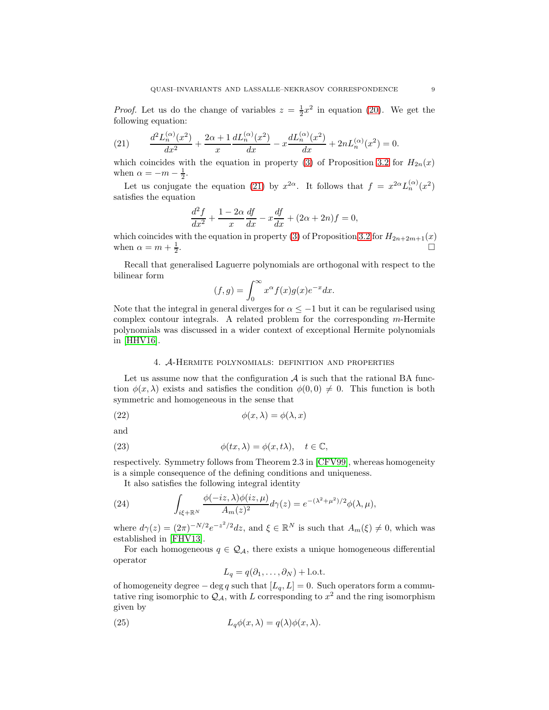*Proof.* Let us do the change of variables  $z = \frac{1}{2}x^2$  in equation [\(20\)](#page-7-0). We get the following equation:

<span id="page-8-1"></span>(21) 
$$
\frac{d^2 L_n^{(\alpha)}(x^2)}{dx^2} + \frac{2\alpha + 1}{x} \frac{d L_n^{(\alpha)}(x^2)}{dx} - x \frac{d L_n^{(\alpha)}(x^2)}{dx} + 2nL_n^{(\alpha)}(x^2) = 0.
$$

which coincides with the equation in property [\(3\)](#page-6-2) of Proposition [3.2](#page-6-9) for  $H_{2n}(x)$ when  $\alpha = -m - \frac{1}{2}$ .

Let us conjugate the equation [\(21\)](#page-8-1) by  $x^{2\alpha}$ . It follows that  $f = x^{2\alpha} L_n^{(\alpha)}(x^2)$ satisfies the equation

$$
\frac{d^2f}{dx^2} + \frac{1-2\alpha}{x}\frac{df}{dx} - x\frac{df}{dx} + (2\alpha + 2n)f = 0,
$$

which coincides with the equation in property [\(3\)](#page-6-2) of Proposition [3.2](#page-6-9) for  $H_{2n+2m+1}(x)$ when  $\alpha = m + \frac{1}{2}$ .

Recall that generalised Laguerre polynomials are orthogonal with respect to the bilinear form

$$
(f,g) = \int_0^\infty x^\alpha f(x)g(x)e^{-x}dx.
$$

Note that the integral in general diverges for  $\alpha \leq -1$  but it can be regularised using complex contour integrals. A related problem for the corresponding  $m$ -Hermite polynomials was discussed in a wider context of exceptional Hermite polynomials in [\[HHV16\]](#page-30-16).

#### <span id="page-8-2"></span>4. A-Hermite polynomials: definition and properties

<span id="page-8-0"></span>Let us assume now that the configuration  $A$  is such that the rational BA function  $\phi(x, \lambda)$  exists and satisfies the condition  $\phi(0, 0) \neq 0$ . This function is both symmetric and homogeneous in the sense that

(22) 
$$
\phi(x,\lambda) = \phi(\lambda,x)
$$

and

(23) 
$$
\phi(tx,\lambda) = \phi(x,t\lambda), \quad t \in \mathbb{C},
$$

respectively. Symmetry follows from Theorem 2.3 in [\[CFV99\]](#page-29-1), whereas homogeneity is a simple consequence of the defining conditions and uniqueness.

<span id="page-8-4"></span><span id="page-8-3"></span>It also satisfies the following integral identity

(24) 
$$
\int_{i\xi+\mathbb{R}^N} \frac{\phi(-iz,\lambda)\phi(iz,\mu)}{A_m(z)^2} d\gamma(z) = e^{-(\lambda^2+\mu^2)/2} \phi(\lambda,\mu),
$$

where  $d\gamma(z) = (2\pi)^{-N/2} e^{-z^2/2} dz$ , and  $\xi \in \mathbb{R}^N$  is such that  $A_m(\xi) \neq 0$ , which was established in [\[FHV13\]](#page-29-12).

For each homogeneous  $q \in \mathcal{Q}_A$ , there exists a unique homogeneous differential operator

<span id="page-8-5"></span>
$$
L_q = q(\partial_1, \dots, \partial_N) + \text{l.o.t.}
$$

of homogeneity degree – deg q such that  $[L_q, L] = 0$ . Such operators form a commutative ring isomorphic to  $\mathcal{Q}_{\mathcal{A}}$ , with L corresponding to  $x^2$  and the ring isomorphism given by

(25) 
$$
L_q \phi(x, \lambda) = q(\lambda) \phi(x, \lambda).
$$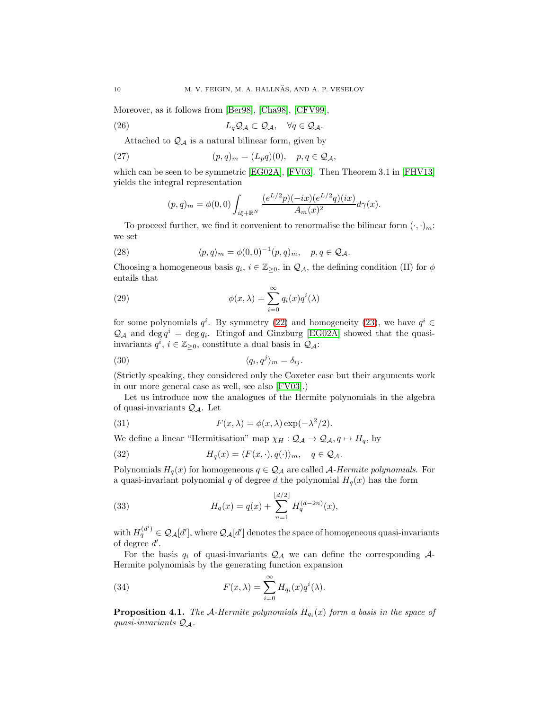Moreover, as it follows from [\[Ber98\]](#page-28-1), [\[Cha98\]](#page-29-15), [\[CFV99\]](#page-29-1),

(26) 
$$
L_q \mathcal{Q}_{\mathcal{A}} \subset \mathcal{Q}_{\mathcal{A}}, \quad \forall q \in \mathcal{Q}_{\mathcal{A}}.
$$

Attached to  $\mathcal{Q}_{\mathcal{A}}$  is a natural bilinear form, given by

(27) 
$$
(p,q)_m = (L_p q)(0), \quad p,q \in \mathcal{Q}_\mathcal{A},
$$

which can be seen to be symmetric [\[EG02A\]](#page-29-10), [\[FV03\]](#page-29-11). Then Theorem 3.1 in [\[FHV13\]](#page-29-12) yields the integral representation

<span id="page-9-7"></span><span id="page-9-1"></span><span id="page-9-0"></span>
$$
(p,q)_m = \phi(0,0) \int_{i\xi + \mathbb{R}^N} \frac{(e^{L/2}p)(-ix)(e^{L/2}q)(ix)}{A_m(x)^2} d\gamma(x).
$$

To proceed further, we find it convenient to renormalise the bilinear form  $(\cdot, \cdot)_m$ : we set

(28) 
$$
\langle p, q \rangle_m = \phi(0, 0)^{-1} (p, q)_m, \quad p, q \in \mathcal{Q}_\mathcal{A}.
$$

Choosing a homogeneous basis  $q_i, i \in \mathbb{Z}_{\geq 0}$ , in  $\mathcal{Q}_A$ , the defining condition (II) for  $\phi$ entails that

<span id="page-9-5"></span>(29) 
$$
\phi(x,\lambda) = \sum_{i=0}^{\infty} q_i(x) q^i(\lambda)
$$

for some polynomials  $q^i$ . By symmetry [\(22\)](#page-8-2) and homogeneity [\(23\)](#page-8-3), we have  $q^i \in$  $\mathcal{Q}_{\mathcal{A}}$  and deg  $q^i = \deg q_i$ . Etingof and Ginzburg [\[EG02A\]](#page-29-10) showed that the quasiinvariants  $q^i$ ,  $i \in \mathbb{Z}_{\geq 0}$ , constitute a dual basis in  $\mathcal{Q}_\mathcal{A}$ :

<span id="page-9-8"></span>(30) 
$$
\langle q_i, q^j \rangle_m = \delta_{ij}.
$$

(Strictly speaking, they considered only the Coxeter case but their arguments work in our more general case as well, see also [\[FV03\]](#page-29-11).)

Let us introduce now the analogues of the Hermite polynomials in the algebra of quasi-invariants  $\mathcal{Q}_A$ . Let

<span id="page-9-2"></span>(31) 
$$
F(x,\lambda) = \phi(x,\lambda) \exp(-\lambda^2/2).
$$

We define a linear "Hermitisation" map  $\chi_H : \mathcal{Q}_A \to \mathcal{Q}_A, q \mapsto H_q$ , by

<span id="page-9-6"></span>(32) 
$$
H_q(x) = \langle F(x, \cdot), q(\cdot) \rangle_m, \quad q \in \mathcal{Q}_\mathcal{A}.
$$

Polynomials  $H_q(x)$  for homogeneous  $q \in \mathcal{Q}_A$  are called A-Hermite polynomials. For a quasi-invariant polynomial  $q$  of degree  $d$  the polynomial  $H_q(x)$  has the form

<span id="page-9-4"></span>(33) 
$$
H_q(x) = q(x) + \sum_{n=1}^{\lfloor d/2 \rfloor} H_q^{(d-2n)}(x),
$$

with  $H_q^{(d')} \in \mathcal{Q}_{\mathcal{A}}[d'],$  where  $\mathcal{Q}_{\mathcal{A}}[d']$  denotes the space of homogeneous quasi-invariants of degree  $d'$ .

For the basis  $q_i$  of quasi-invariants  $\mathcal{Q}_\mathcal{A}$  we can define the corresponding  $\mathcal{A}$ -Hermite polynomials by the generating function expansion

<span id="page-9-3"></span>(34) 
$$
F(x,\lambda) = \sum_{i=0}^{\infty} H_{q_i}(x) q^i(\lambda).
$$

**Proposition 4.1.** The A-Hermite polynomials  $H_{q_i}(x)$  form a basis in the space of quasi-invariants  $Q_{\mathcal{A}}$ .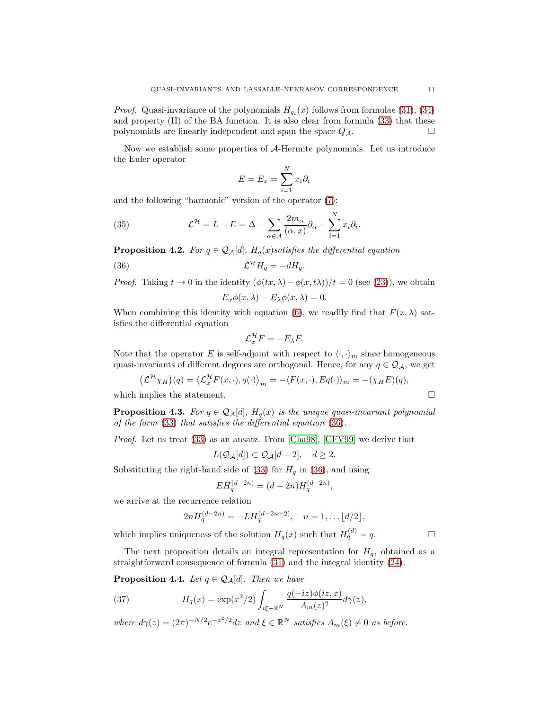*Proof.* Quasi-invariance of the polynomials  $H_{q_i}(x)$  follows from formulae [\(31\)](#page-9-2), [\(34\)](#page-9-3) and property (II) of the BA function. It is also clear from formula [\(33\)](#page-9-4) that these polynomials are linearly independent and span the space  $Q_{\mathcal{A}}$ .

Now we establish some properties of A-Hermite polynomials. Let us introduce the Euler operator

<span id="page-10-4"></span>
$$
E = E_x = \sum_{i=1}^{N} x_i \partial_i
$$

and the following "harmonic" version of the operator [\(7\)](#page-3-0):

(35) 
$$
\mathcal{L}^{\mathcal{H}} = L - E = \Delta - \sum_{\alpha \in \mathcal{A}} \frac{2m_{\alpha}}{(\alpha, x)} \partial_{\alpha} - \sum_{i=1}^{N} x_{i} \partial_{i}.
$$

<span id="page-10-0"></span>**Proposition 4.2.** For  $q \in \mathcal{Q}_{\mathcal{A}}[d]$ ,  $H_q(x)$  satisfies the differential equation

$$
(36)\t\t\t\mathcal{L}^{\mathcal{H}}H_q = -dH_q.
$$

*Proof.* Taking  $t \to 0$  in the identity  $(\phi(tx, \lambda) - \phi(x, t\lambda))/t = 0$  (see [\(23\)](#page-8-3)), we obtain  $E_x \phi(x, \lambda) - E_\lambda \phi(x, \lambda) = 0.$ 

<span id="page-10-1"></span>
$$
\mathcal{L}_{\mathcal{X}}\varphi(\omega,\lambda) = \mathcal{L}_{\lambda}\varphi(\omega,\lambda) = 0.
$$

When combining this identity with equation [\(6\)](#page-3-1), we readily find that  $F(x, \lambda)$  satisfies the differential equation

$$
\mathcal{L}_x^{\mathcal{H}} F = -E_\lambda F.
$$

Note that the operator E is self-adjoint with respect to  $\langle \cdot, \cdot \rangle_m$  since homogeneous quasi-invariants of different degrees are orthogonal. Hence, for any  $q \in \mathcal{Q}_A$ , we get

$$
\left(\mathcal{L}^{\mathcal{H}}\chi_H\right)(q) = \left\langle \mathcal{L}_x^{\mathcal{H}} F(x, \cdot), q(\cdot) \right\rangle_m = -\langle F(x, \cdot), Eq(\cdot) \rangle_m = -(\chi_H E)(q),
$$
  
which implies the statement.

<span id="page-10-3"></span>**Proposition 4.3.** For  $q \in Q_{\mathcal{A}}[d]$ ,  $H_q(x)$  is the unique quasi-invariant polynomial of the form [\(33\)](#page-9-4) that satisfies the differential equation [\(36\)](#page-10-1).

Proof. Let us treat [\(33\)](#page-9-4) as an ansatz. From [\[Cha98\]](#page-29-15), [\[CFV99\]](#page-29-1) we derive that

$$
L(\mathcal{Q}_{\mathcal{A}}[d]) \subset \mathcal{Q}_{\mathcal{A}}[d-2], \quad d \ge 2.
$$

Substituting the right-hand side of [\(33\)](#page-9-4) for  $H<sub>q</sub>$  in [\(36\)](#page-10-1), and using

$$
EH_q^{(d-2n)} = (d-2n)H_q^{(d-2n)},
$$

we arrive at the recurrence relation

$$
2nH_q^{(d-2n)} = -LH_q^{(d-2n+2)}, \quad n = 1, \dots \lfloor d/2 \rfloor,
$$

which implies uniqueness of the solution  $H_q(x)$  such that  $H_q^{(d)} = q$ .

The next proposition details an integral representation for  $H<sub>q</sub>$ , obtained as a straightforward consequence of formula [\(31\)](#page-9-2) and the integral identity [\(24\)](#page-8-4).

**Proposition 4.4.** Let  $q \in \mathcal{Q}_{\mathcal{A}}[d]$ . Then we have

<span id="page-10-2"></span>(37) 
$$
H_q(x) = \exp(x^2/2) \int_{i\xi + \mathbb{R}^N} \frac{q(-iz)\phi(iz, x)}{A_m(z)^2} d\gamma(z),
$$

where  $d\gamma(z) = (2\pi)^{-N/2} e^{-z^2/2} dz$  and  $\xi \in \mathbb{R}^N$  satisfies  $A_m(\xi) \neq 0$  as before.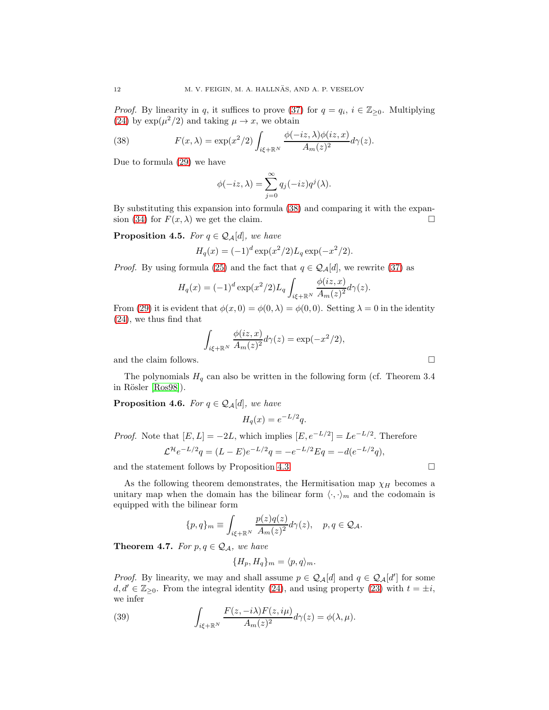*Proof.* By linearity in q, it suffices to prove [\(37\)](#page-10-2) for  $q = q_i$ ,  $i \in \mathbb{Z}_{\geq 0}$ . Multiplying [\(24\)](#page-8-4) by  $\exp(\mu^2/2)$  and taking  $\mu \to x$ , we obtain

(38) 
$$
F(x,\lambda) = \exp(x^2/2) \int_{i\xi + \mathbb{R}^N} \frac{\phi(-iz,\lambda)\phi(iz,x)}{A_m(z)^2} d\gamma(z).
$$

Due to formula [\(29\)](#page-9-5) we have

<span id="page-11-1"></span>
$$
\phi(-iz,\lambda) = \sum_{j=0}^{\infty} q_j(-iz)q^j(\lambda).
$$

By substituting this expansion into formula [\(38\)](#page-11-1) and comparing it with the expan-sion [\(34\)](#page-9-3) for  $F(x, \lambda)$  we get the claim.

**Proposition 4.5.** For  $q \in \mathcal{Q}_{\mathcal{A}}[d]$ , we have

$$
H_q(x) = (-1)^d \exp(x^2/2) L_q \exp(-x^2/2).
$$

*Proof.* By using formula [\(25\)](#page-8-5) and the fact that  $q \in \mathcal{Q}_{\mathcal{A}}[d]$ , we rewrite [\(37\)](#page-10-2) as

$$
H_q(x) = (-1)^d \exp(x^2/2) L_q \int_{i\xi + \mathbb{R}^N} \frac{\phi(iz, x)}{A_m(z)^2} d\gamma(z).
$$

From [\(29\)](#page-9-5) it is evident that  $\phi(x, 0) = \phi(0, \lambda) = \phi(0, 0)$ . Setting  $\lambda = 0$  in the identity [\(24\)](#page-8-4), we thus find that

$$
\int_{i\xi + \mathbb{R}^N} \frac{\phi(iz, x)}{A_m(z)^2} d\gamma(z) = \exp(-x^2/2),
$$

and the claim follows.  $\hfill \square$ 

The polynomials  $H_q$  can also be written in the following form (cf. Theorem 3.4 in Rösler [\[Ros98\]](#page-30-8)).

<span id="page-11-0"></span>**Proposition 4.6.** For  $q \in \mathcal{Q}_{\mathcal{A}}[d]$ , we have

$$
H_q(x) = e^{-L/2}q.
$$

*Proof.* Note that  $[E, L] = -2L$ , which implies  $[E, e^{-L/2}] = Le^{-L/2}$ . Therefore  $\mathcal{L}^{\mathcal{H}}e^{-L/2}q = (L-E)e^{-L/2}q = -e^{-L/2}Eq = -d(e^{-L/2}q),$ 

and the statement follows by Proposition [4.3.](#page-10-3)  $\Box$ 

As the following theorem demonstrates, the Hermitisation map  $\chi_H$  becomes a unitary map when the domain has the bilinear form  $\langle \cdot, \cdot \rangle_m$  and the codomain is equipped with the bilinear form

$$
\{p,q\}_m\equiv \int_{i\xi+\mathbb{R}^N}\frac{p(z)q(z)}{A_m(z)^2}d\gamma(z),\quad p,q\in\mathcal{Q_A}.
$$

**Theorem 4.7.** For  $p, q \in \mathcal{Q}_A$ , we have

<span id="page-11-2"></span>
$$
\{H_p, H_q\}_m = \langle p, q \rangle_m.
$$

*Proof.* By linearity, we may and shall assume  $p \in \mathcal{Q}_A[d]$  and  $q \in \mathcal{Q}_A[d']$  for some  $d, d' \in \mathbb{Z}_{\geq 0}$ . From the integral identity [\(24\)](#page-8-4), and using property [\(23\)](#page-8-3) with  $t = \pm i$ , we infer

(39) 
$$
\int_{i\xi + \mathbb{R}^N} \frac{F(z, -i\lambda)F(z, i\mu)}{A_m(z)^2} d\gamma(z) = \phi(\lambda, \mu).
$$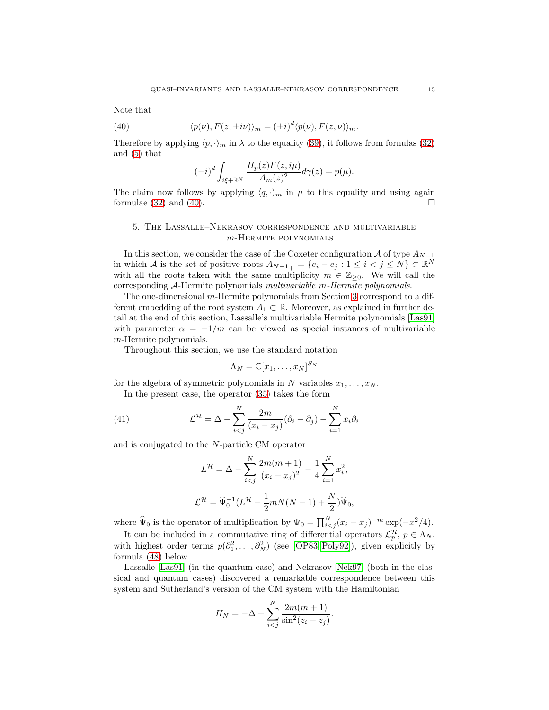Note that

(40) 
$$
\langle p(\nu), F(z, \pm i\nu) \rangle_m = (\pm i)^d \langle p(\nu), F(z, \nu) \rangle_m.
$$

Therefore by applying  $\langle p, \cdot \rangle_m$  in  $\lambda$  to the equality [\(39\)](#page-11-2), it follows from fornulas [\(32\)](#page-9-6) and [\(5\)](#page-3-2) that

<span id="page-12-1"></span>
$$
(-i)^d \int_{i\xi+\mathbb{R}^N} \frac{H_p(z)F(z,i\mu)}{A_m(z)^2} d\gamma(z) = p(\mu).
$$

The claim now follows by applying  $\langle q, \cdot \rangle_m$  in  $\mu$  to this equality and using again formulae  $(32)$  and  $(40)$ .

# <span id="page-12-0"></span>5. The Lassalle–Nekrasov correspondence and multivariable m-Hermite polynomials

In this section, we consider the case of the Coxeter configuration  $A$  of type  $A_{N-1}$ in which A is the set of positive roots  $A_{N-1+} = \{e_i - e_j : 1 \leq i < j \leq N\} \subset \mathbb{R}^N$ with all the roots taken with the same multiplicity  $m \in \mathbb{Z}_{\geq 0}$ . We will call the corresponding A-Hermite polynomials multivariable m-Hermite polynomials.

The one-dimensional m-Hermite polynomials from Section [3](#page-4-4) correspond to a different embedding of the root system  $A_1 \subset \mathbb{R}$ . Moreover, as explained in further detail at the end of this section, Lassalle's multivariable Hermite polynomials [\[Las91\]](#page-30-7) with parameter  $\alpha = -1/m$  can be viewed as special instances of multivariable m-Hermite polynomials.

Throughout this section, we use the standard notation

$$
\Lambda_N = \mathbb{C}[x_1,\ldots,x_N]^{S_N}
$$

for the algebra of symmetric polynomials in N variables  $x_1, \ldots, x_N$ .

In the present case, the operator [\(35\)](#page-10-4) takes the form

(41) 
$$
\mathcal{L}^{\mathcal{H}} = \Delta - \sum_{i < j}^{N} \frac{2m}{(x_i - x_j)} (\partial_i - \partial_j) - \sum_{i=1}^{N} x_i \partial_i
$$

and is conjugated to the N-particle CM operator

<span id="page-12-2"></span>
$$
L^{\mathcal{H}} = \Delta - \sum_{i < j}^{N} \frac{2m(m+1)}{(x_i - x_j)^2} - \frac{1}{4} \sum_{i=1}^{N} x_i^2,
$$
\n
$$
\mathcal{L}^{\mathcal{H}} = \widehat{\Psi}_0^{-1} (L^{\mathcal{H}} - \frac{1}{2} m N(N-1) + \frac{N}{2}) \widehat{\Psi}_0,
$$

where  $\widehat{\Psi}_0$  is the operator of multiplication by  $\Psi_0 = \prod_{i < j}^{N} (x_i - x_j)^{-m} \exp(-x^2/4)$ .

It can be included in a commutative ring of differential operators  $\mathcal{L}_p^{\mathcal{H}}, p \in \Lambda_N$ , with highest order terms  $p(\partial_1^2, \ldots, \partial_N^2)$  (see [\[OP83,](#page-30-3) [Poly92\]](#page-30-17)), given explicitly by formula [\(48\)](#page-15-0) below.

Lassalle [\[Las91\]](#page-30-7) (in the quantum case) and Nekrasov [\[Nek97\]](#page-30-5) (both in the classical and quantum cases) discovered a remarkable correspondence between this system and Sutherland's version of the CM system with the Hamiltonian

$$
H_N = -\Delta + \sum_{i < j}^{N} \frac{2m(m+1)}{\sin^2(z_i - z_j)}.
$$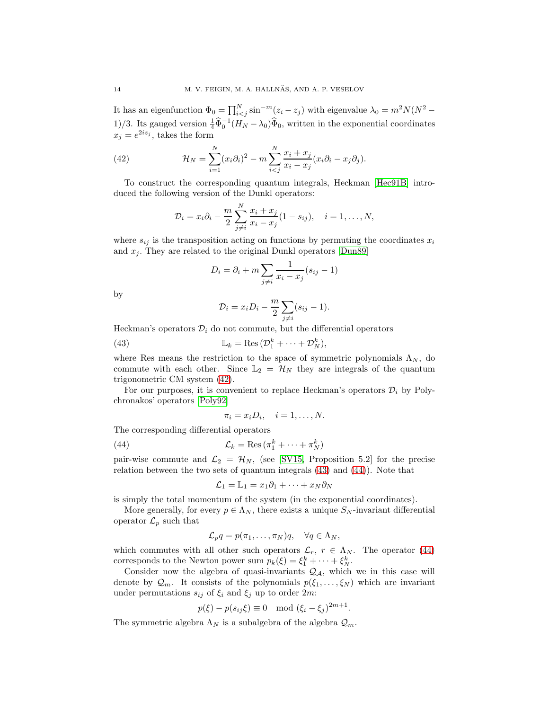It has an eigenfunction  $\Phi_0 = \prod_{i < j}^{N} \sin^{-m}(z_i - z_j)$  with eigenvalue  $\lambda_0 = m^2 N(N^2 - z_j)$ 1)/3. Its gauged version  $\frac{1}{4}\hat{\Phi}_0^{-1}(H_N-\lambda_0)\hat{\Phi}_0$ , written in the exponential coordinates  $x_j = e^{2iz_j}$ , takes the form

(42) 
$$
\mathcal{H}_N = \sum_{i=1}^N (x_i \partial_i)^2 - m \sum_{i < j}^N \frac{x_i + x_j}{x_i - x_j} (x_i \partial_i - x_j \partial_j).
$$

To construct the corresponding quantum integrals, Heckman [\[Hec91B\]](#page-30-18) introduced the following version of the Dunkl operators:

<span id="page-13-0"></span>
$$
\mathcal{D}_i = x_i \partial_i - \frac{m}{2} \sum_{j \neq i}^N \frac{x_i + x_j}{x_i - x_j} (1 - s_{ij}), \quad i = 1, \dots, N,
$$

where  $s_{ij}$  is the transposition acting on functions by permuting the coordinates  $x_i$ and  $x_j$ . They are related to the original Dunkl operators [\[Dun89\]](#page-29-16)

$$
D_i = \partial_i + m \sum_{j \neq i} \frac{1}{x_i - x_j} (s_{ij} - 1)
$$

by

<span id="page-13-1"></span>
$$
\mathcal{D}_i = x_i D_i - \frac{m}{2} \sum_{j \neq i} (s_{ij} - 1).
$$

Heckman's operators  $\mathcal{D}_i$  do not commute, but the differential operators

(43) 
$$
\mathbb{L}_k = \text{Res} \, (\mathcal{D}_1^k + \cdots + \mathcal{D}_N^k),
$$

where Res means the restriction to the space of symmetric polynomials  $\Lambda_N$ , do commute with each other. Since  $\mathbb{L}_2 = \mathcal{H}_N$  they are integrals of the quantum trigonometric CM system [\(42\)](#page-13-0).

For our purposes, it is convenient to replace Heckman's operators  $\mathcal{D}_i$  by Polychronakos' operators [\[Poly92\]](#page-30-17)

<span id="page-13-2"></span>
$$
\pi_i = x_i D_i, \quad i = 1, \dots, N.
$$

The corresponding differential operators

(44) 
$$
\mathcal{L}_k = \text{Res} \left( \pi_1^k + \dots + \pi_N^k \right)
$$

pair-wise commute and  $\mathcal{L}_2 = \mathcal{H}_N$ , (see [\[SV15,](#page-30-19) Proposition 5.2] for the precise relation between the two sets of quantum integrals [\(43\)](#page-13-1) and [\(44\)](#page-13-2)). Note that

$$
\mathcal{L}_1 = \mathbb{L}_1 = x_1 \partial_1 + \dots + x_N \partial_N
$$

is simply the total momentum of the system (in the exponential coordinates).

More generally, for every  $p \in \Lambda_N$ , there exists a unique  $S_N$ -invariant differential operator  $\mathcal{L}_p$  such that

$$
\mathcal{L}_pq = p(\pi_1, \dots, \pi_N)q, \quad \forall q \in \Lambda_N,
$$

which commutes with all other such operators  $\mathcal{L}_r$ ,  $r \in \Lambda_N$ . The operator [\(44\)](#page-13-2) corresponds to the Newton power sum  $p_k(\xi) = \xi_1^k + \cdots + \xi_N^k$ .

Consider now the algebra of quasi-invariants  $\mathcal{Q}_A$ , which we in this case will denote by  $\mathcal{Q}_m$ . It consists of the polynomials  $p(\xi_1, \ldots, \xi_N)$  which are invariant under permutations  $s_{ij}$  of  $\xi_i$  and  $\xi_j$  up to order  $2m$ :

$$
p(\xi) - p(s_{ij}\xi) \equiv 0 \mod (\xi_i - \xi_j)^{2m+1}.
$$

The symmetric algebra  $\Lambda_N$  is a subalgebra of the algebra  $\mathcal{Q}_m$ .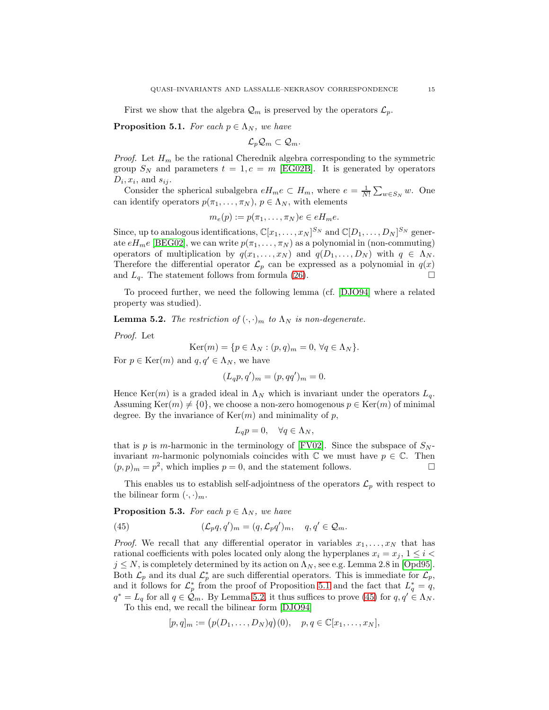First we show that the algebra  $\mathcal{Q}_m$  is preserved by the operators  $\mathcal{L}_p$ .

<span id="page-14-0"></span>**Proposition 5.1.** For each  $p \in \Lambda_N$ , we have

$$
\mathcal{L}_p\mathcal{Q}_m\subset \mathcal{Q}_m.
$$

*Proof.* Let  $H_m$  be the rational Cherednik algebra corresponding to the symmetric group  $S_N$  and parameters  $t = 1, c = m$  [\[EG02B\]](#page-29-17). It is generated by operators  $D_i, x_i$ , and  $s_{ij}$ .

Consider the spherical subalgebra  $eH_me \subset H_m$ , where  $e = \frac{1}{N!} \sum_{w \in S_N} w$ . One can identify operators  $p(\pi_1, \ldots, \pi_N)$ ,  $p \in \Lambda_N$ , with elements

$$
m_e(p) := p(\pi_1, \dots, \pi_N)e \in eH_m e.
$$

Since, up to analogous identifications,  $\mathbb{C}[x_1,\ldots,x_N]^{S_N}$  and  $\mathbb{C}[D_1,\ldots,D_N]^{S_N}$  generate  $eH_m e$  [\[BEG02\]](#page-28-2), we can write  $p(\pi_1, \ldots, \pi_N)$  as a polynomial in (non-commuting) operators of multiplication by  $q(x_1, \ldots, x_N)$  and  $q(D_1, \ldots, D_N)$  with  $q \in \Lambda_N$ . Therefore the differential operator  $\mathcal{L}_p$  can be expressed as a polynomial in  $q(x)$ and  $L_q$ . The statement follows from formula [\(26\)](#page-9-7).

To proceed further, we need the following lemma (cf. [\[DJO94\]](#page-29-18) where a related property was studied).

<span id="page-14-1"></span>**Lemma 5.2.** The restriction of  $(\cdot, \cdot)_m$  to  $\Lambda_N$  is non-degenerate.

Proof. Let

$$
Ker(m) = \{ p \in \Lambda_N : (p, q)_m = 0, \forall q \in \Lambda_N \}.
$$

For  $p \in \text{Ker}(m)$  and  $q, q' \in \Lambda_N$ , we have

$$
(L_q p, q')_m = (p, qq')_m = 0.
$$

Hence Ker(m) is a graded ideal in  $\Lambda_N$  which is invariant under the operators  $L_q$ . Assuming Ker $(m) \neq \{0\}$ , we choose a non-zero homogenous  $p \in \text{Ker}(m)$  of minimal degree. By the invariance of  $Ker(m)$  and minimality of p,

$$
L_q p = 0, \quad \forall q \in \Lambda_N,
$$

that is p is m-harmonic in the terminology of [\[FV02\]](#page-29-3). Since the subspace of  $S_N$ invariant m-harmonic polynomials coincides with  $\mathbb C$  we must have  $p \in \mathbb C$ . Then  $(p, p)<sub>m</sub> = p<sup>2</sup>$ , which implies  $p = 0$ , and the statement follows.

This enables us to establish self-adjointness of the operators  $\mathcal{L}_p$  with respect to the bilinear form  $(\cdot, \cdot)_m$ .

<span id="page-14-3"></span>**Proposition 5.3.** For each  $p \in \Lambda_N$ , we have

<span id="page-14-2"></span>(45) 
$$
(\mathcal{L}_p q, q')_m = (q, \mathcal{L}_p q')_m, \quad q, q' \in \mathcal{Q}_m.
$$

*Proof.* We recall that any differential operator in variables  $x_1, \ldots, x_N$  that has rational coefficients with poles located only along the hyperplanes  $x_i = x_j, 1 \leq i$  $j \leq N$ , is completely determined by its action on  $\Lambda_N$ , see e.g. Lemma 2.8 in [\[Opd95\]](#page-30-20). Both  $\mathcal{L}_p$  and its dual  $\mathcal{L}_p^*$  are such differential operators. This is immediate for  $\mathcal{L}_p$ , and it follows for  $\mathcal{L}_p^*$  from the proof of Proposition [5.1](#page-14-0) and the fact that  $L_q^* = q$ ,  $q^* = L_q$  for all  $q \in \mathcal{Q}_m$ . By Lemma [5.2,](#page-14-1) it thus suffices to prove [\(45\)](#page-14-2) for  $q, q' \in \Lambda_N$ .

To this end, we recall the bilinear form [\[DJO94\]](#page-29-18)

$$
[p, q]_m := (p(D_1, \ldots, D_N)q)(0), \quad p, q \in \mathbb{C}[x_1, \ldots, x_N],
$$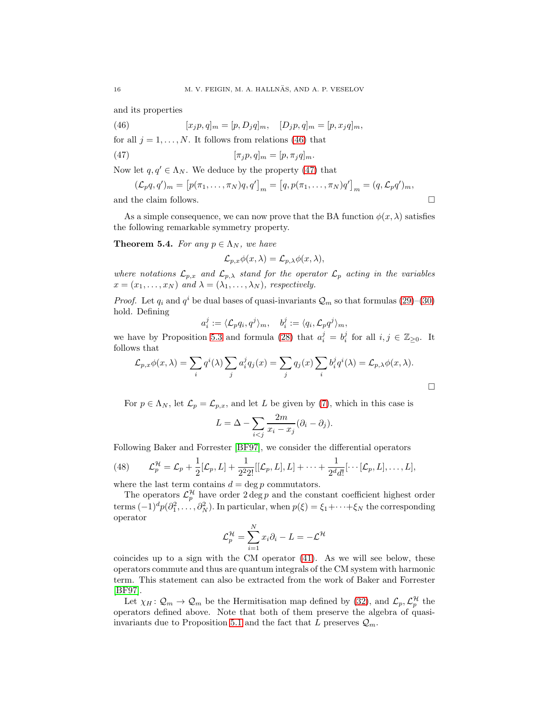and its properties

<span id="page-15-1"></span>(46) 
$$
[x_j p, q]_m = [p, D_j q]_m, \quad [D_j p, q]_m = [p, x_j q]_m,
$$

for all  $j = 1, \ldots, N$ . It follows from relations [\(46\)](#page-15-1) that

(47) 
$$
[\pi_j p, q]_m = [p, \pi_j q]_m.
$$

Now let  $q, q' \in \Lambda_N$ . We deduce by the property [\(47\)](#page-15-2) that

$$
(\mathcal{L}_p q, q')_m = [p(\pi_1, \dots, \pi_N)q, q']_m = [q, p(\pi_1, \dots, \pi_N)q']_m = (q, \mathcal{L}_p q')_m,
$$
  
and the claim follows.

As a simple consequence, we can now prove that the BA function  $\phi(x, \lambda)$  satisfies the following remarkable symmetry property.

<span id="page-15-3"></span>**Theorem 5.4.** For any  $p \in \Lambda_N$ , we have

<span id="page-15-2"></span>
$$
\mathcal{L}_{p,x}\phi(x,\lambda)=\mathcal{L}_{p,\lambda}\phi(x,\lambda),
$$

where notations  $\mathcal{L}_{p,x}$  and  $\mathcal{L}_{p,\lambda}$  stand for the operator  $\mathcal{L}_p$  acting in the variables  $x = (x_1, \ldots, x_N)$  and  $\lambda = (\lambda_1, \ldots, \lambda_N)$ , respectively.

*Proof.* Let  $q_i$  and  $q^i$  be dual bases of quasi-invariants  $\mathcal{Q}_m$  so that formulas [\(29\)](#page-9-5)–[\(30\)](#page-9-8) hold. Defining

$$
a_i^j:=\langle \mathcal{L}_pq_i, q^j\rangle_m, \quad b_i^j:=\langle q_i, \mathcal{L}_pq^j\rangle_m,
$$

we have by Proposition [5.3](#page-14-3) and formula [\(28\)](#page-9-1) that  $a_i^j = b_i^j$  for all  $i, j \in \mathbb{Z}_{\geq 0}$ . It follows that

$$
\mathcal{L}_{p,x}\phi(x,\lambda) = \sum_{i} q^{i}(\lambda) \sum_{j} a_{i}^{j} q_{j}(x) = \sum_{j} q_{j}(x) \sum_{i} b_{i}^{j} q^{i}(\lambda) = \mathcal{L}_{p,\lambda}\phi(x,\lambda).
$$

For  $p \in \Lambda_N$ , let  $\mathcal{L}_p = \mathcal{L}_{p,x}$ , and let L be given by [\(7\)](#page-3-0), which in this case is

$$
L = \Delta - \sum_{i < j} \frac{2m}{x_i - x_j} (\partial_i - \partial_j).
$$

Following Baker and Forrester [\[BF97\]](#page-28-0), we consider the differential operators

<span id="page-15-0"></span>(48) 
$$
\mathcal{L}_p^{\mathcal{H}} = \mathcal{L}_p + \frac{1}{2}[\mathcal{L}_p, L] + \frac{1}{2^2 2!}[[\mathcal{L}_p, L], L] + \cdots + \frac{1}{2^d d!}[\cdots[\mathcal{L}_p, L], \ldots, L],
$$

where the last term contains  $d = \deg p$  commutators.

The operators  $\mathcal{L}_p^{\mathcal{H}}$  have order  $2 \deg p$  and the constant coefficient highest order terms  $(-1)^d p(\partial_1^2, \dots, \partial_N^2)$ . In particular, when  $p(\xi) = \xi_1 + \dots + \xi_N$  the corresponding operator

$$
\mathcal{L}_p^{\mathcal{H}} = \sum_{i=1}^N x_i \partial_i - L = -\mathcal{L}^{\mathcal{H}}
$$

coincides up to a sign with the CM operator [\(41\)](#page-12-2). As we will see below, these operators commute and thus are quantum integrals of the CM system with harmonic term. This statement can also be extracted from the work of Baker and Forrester [\[BF97\]](#page-28-0).

Let  $\chi_H: \mathcal{Q}_m \to \mathcal{Q}_m$  be the Hermitisation map defined by [\(32\)](#page-9-6), and  $\mathcal{L}_p, \mathcal{L}_p^{\mathcal{H}}$  the operators defined above. Note that both of them preserve the algebra of quasi-invariants due to Proposition [5.1](#page-14-0) and the fact that L preserves  $\mathcal{Q}_m$ .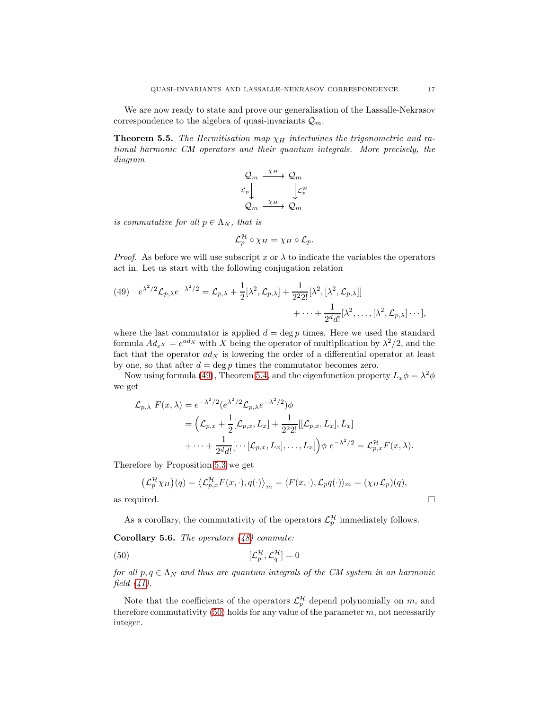We are now ready to state and prove our generalisation of the Lassalle-Nekrasov correspondence to the algebra of quasi-invariants  $\mathcal{Q}_m$ .

<span id="page-16-2"></span>**Theorem 5.5.** The Hermitisation map  $\chi_H$  intertwines the trigonometric and rational harmonic CM operators and their quantum integrals. More precisely, the diagram

$$
\begin{array}{ccc}\n\mathcal{Q}_m & \xrightarrow{\chi_H} & \mathcal{Q}_m \\
\mathcal{L}_p & & \downarrow \mathcal{L}_p^{\mathcal{H}} \\
\mathcal{Q}_m & \xrightarrow{\chi_H} & \mathcal{Q}_m\n\end{array}
$$

is commutative for all  $p \in \Lambda_N$ , that is

$$
\mathcal{L}_p^{\mathcal{H}}\circ \chi_H=\chi_H\circ \mathcal{L}_p.
$$

*Proof.* As before we will use subscript x or  $\lambda$  to indicate the variables the operators act in. Let us start with the following conjugation relation

<span id="page-16-0"></span>(49) 
$$
e^{\lambda^2/2} \mathcal{L}_{p,\lambda} e^{-\lambda^2/2} = \mathcal{L}_{p,\lambda} + \frac{1}{2} [\lambda^2, \mathcal{L}_{p,\lambda}] + \frac{1}{2^2 2!} [\lambda^2, [\lambda^2, \mathcal{L}_{p,\lambda}]]
$$
  
  $+ \cdots + \frac{1}{2^d d!} [\lambda^2, \dots, [\lambda^2, \mathcal{L}_{p,\lambda}] \cdots],$ 

where the last commutator is applied  $d = \deg p$  times. Here we used the standard formula  $Ad_{e}x = e^{adx}$  with X being the operator of multiplication by  $\lambda^2/2$ , and the fact that the operator  $ad_X$  is lowering the order of a differential operator at least by one, so that after  $d = \deg p$  times the commutator becomes zero.

Now using formula [\(49\)](#page-16-0), Theorem [5.4,](#page-15-3) and the eigenfunction property  $L_x \phi = \lambda^2 \phi$ we get

$$
\mathcal{L}_{p,\lambda} F(x,\lambda) = e^{-\lambda^2/2} (e^{\lambda^2/2} \mathcal{L}_{p,\lambda} e^{-\lambda^2/2}) \phi
$$
  
= 
$$
\left( \mathcal{L}_{p,x} + \frac{1}{2} [\mathcal{L}_{p,x}, L_x] + \frac{1}{2^2 2!} [[\mathcal{L}_{p,x}, L_x], L_x] + \cdots + \frac{1}{2^d d!} [\cdots [\mathcal{L}_{p,x}, L_x], \dots, L_x] \right) \phi e^{-\lambda^2/2} = \mathcal{L}_{p,x}^{\mathcal{H}} F(x,\lambda).
$$

Therefore by Proposition [5.3](#page-14-3) we get

$$
\left(\mathcal{L}_p^{\mathcal{H}}\chi_H\right)(q) = \left\langle \mathcal{L}_{p,x}^{\mathcal{H}}F(x,\cdot),q(\cdot)\right\rangle_m = \left\langle F(x,\cdot),\mathcal{L}_pq(\cdot)\right\rangle_m = \left(\chi_H\mathcal{L}_p\right)(q),
$$
 as required.

<span id="page-16-1"></span>As a corollary, the commutativity of the operators  $\mathcal{L}_p^{\mathcal{H}}$  immediately follows.

Corollary 5.6. The operators  $(48)$  commute:

$$
\left[ \mathcal{L}_p^{\mathcal{H}}, \mathcal{L}_q^{\mathcal{H}} \right] = 0
$$

for all  $p, q \in \Lambda_N$  and thus are quantum integrals of the CM system in an harmonic field  $(41)$ .

Note that the coefficients of the operators  $\mathcal{L}_p^{\mathcal{H}}$  depend polynomially on m, and therefore commutativity  $(50)$  holds for any value of the parameter m, not necessarily integer.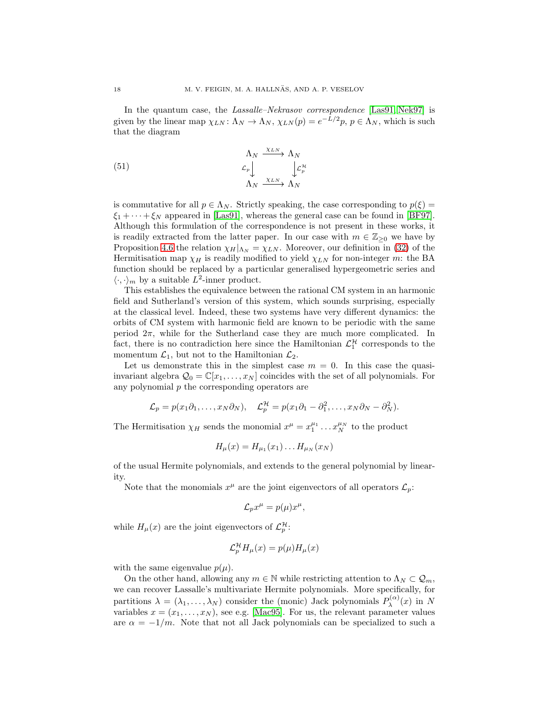In the quantum case, the Lassalle–Nekrasov correspondence [\[Las91,](#page-30-7) [Nek97\]](#page-30-5) is given by the linear map  $\chi_{LN} \colon \Lambda_N \to \Lambda_N$ ,  $\chi_{LN}(p) = e^{-L/2}p$ ,  $p \in \Lambda_N$ , which is such that the diagram

<span id="page-17-0"></span>(51) 
$$
\begin{array}{c}\n\Lambda_N \xrightarrow{\chi_{LN}} \Lambda_N \\
\mathcal{L}_p \downarrow \qquad \qquad \downarrow \mathcal{L}_p^{\mathcal{H}} \\
\Lambda_N \xrightarrow{\chi_{LN}} \Lambda_N\n\end{array}
$$

is commutative for all  $p \in \Lambda_N$ . Strictly speaking, the case corresponding to  $p(\xi) =$  $\xi_1 + \cdots + \xi_N$  appeared in [\[Las91\]](#page-30-7), whereas the general case can be found in [\[BF97\]](#page-28-0). Although this formulation of the correspondence is not present in these works, it is readily extracted from the latter paper. In our case with  $m \in \mathbb{Z}_{\geq 0}$  we have by Proposition [4.6](#page-11-0) the relation  $\chi_H|_{\Lambda_N} = \chi_{LN}$ . Moreover, our definition in [\(32\)](#page-9-6) of the Hermitisation map  $\chi_H$  is readily modified to yield  $\chi_{LN}$  for non-integer m: the BA function should be replaced by a particular generalised hypergeometric series and  $\langle \cdot, \cdot \rangle_m$  by a suitable  $L^2$ -inner product.

This establishes the equivalence between the rational CM system in an harmonic field and Sutherland's version of this system, which sounds surprising, especially at the classical level. Indeed, these two systems have very different dynamics: the orbits of CM system with harmonic field are known to be periodic with the same period  $2\pi$ , while for the Sutherland case they are much more complicated. In fact, there is no contradiction here since the Hamiltonian  $\mathcal{L}_1^{\mathcal{H}}$  corresponds to the momentum  $\mathcal{L}_1$ , but not to the Hamiltonian  $\mathcal{L}_2$ .

Let us demonstrate this in the simplest case  $m = 0$ . In this case the quasiinvariant algebra  $\mathcal{Q}_0 = \mathbb{C}[x_1, \ldots, x_N]$  coincides with the set of all polynomials. For any polynomial  $p$  the corresponding operators are

$$
\mathcal{L}_p = p(x_1 \partial_1, \dots, x_N \partial_N), \quad \mathcal{L}_p^{\mathcal{H}} = p(x_1 \partial_1 - \partial_1^2, \dots, x_N \partial_N - \partial_N^2).
$$

The Hermitisation  $\chi_H$  sends the monomial  $x^{\mu} = x_1^{\mu_1} \dots x_N^{\mu_N}$  to the product

$$
H_{\mu}(x) = H_{\mu_1}(x_1) \dots H_{\mu_N}(x_N)
$$

of the usual Hermite polynomials, and extends to the general polynomial by linearity.

Note that the monomials  $x^{\mu}$  are the joint eigenvectors of all operators  $\mathcal{L}_p$ :

$$
\mathcal{L}_p x^\mu = p(\mu) x^\mu,
$$

while  $H_{\mu}(x)$  are the joint eigenvectors of  $\mathcal{L}_{p}^{\mathcal{H}}$ :

$$
\mathcal{L}_p^{\mathcal{H}} H_\mu(x) = p(\mu) H_\mu(x)
$$

with the same eigenvalue  $p(\mu)$ .

On the other hand, allowing any  $m \in \mathbb{N}$  while restricting attention to  $\Lambda_N \subset \mathcal{Q}_m$ , we can recover Lassalle's multivariate Hermite polynomials. More specifically, for partitions  $\lambda = (\lambda_1, \ldots, \lambda_N)$  consider the (monic) Jack polynomials  $P_{\lambda}^{(\alpha)}$  $\lambda^{(\alpha)}(x)$  in N variables  $x = (x_1, \ldots, x_N)$ , see e.g. [\[Mac95\]](#page-30-21). For us, the relevant parameter values are  $\alpha = -1/m$ . Note that not all Jack polynomials can be specialized to such a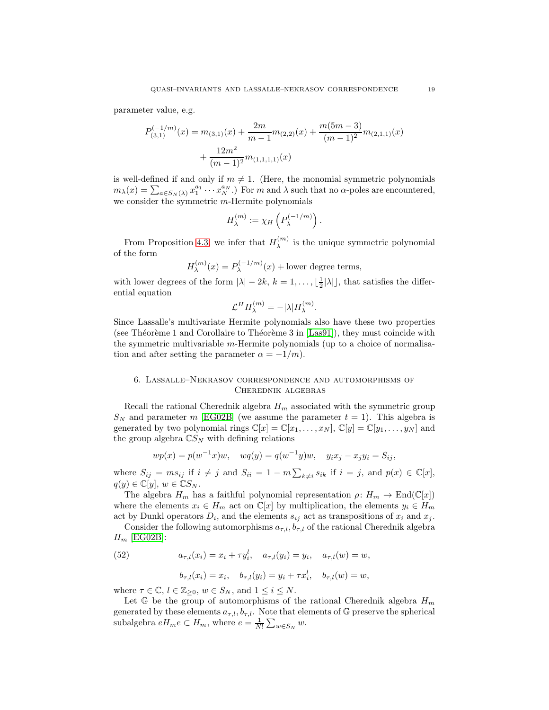parameter value, e.g.

$$
P_{(3,1)}^{(-1/m)}(x) = m_{(3,1)}(x) + \frac{2m}{m-1}m_{(2,2)}(x) + \frac{m(5m-3)}{(m-1)^2}m_{(2,1,1)}(x) + \frac{12m^2}{(m-1)^2}m_{(1,1,1,1)}(x)
$$

is well-defined if and only if  $m \neq 1$ . (Here, the monomial symmetric polynomials  $m_{\lambda}(x) = \sum_{a \in S_N(\lambda)} x_1^{a_1} \cdots x_N^{a_N}$ .) For m and  $\lambda$  such that no  $\alpha$ -poles are encountered, we consider the symmetric m-Hermite polynomials

$$
H_{\lambda}^{(m)} := \chi_H\left(P_{\lambda}^{(-1/m)}\right).
$$

From Proposition [4.3,](#page-10-3) we infer that  $H_{\lambda}^{(m)}$  $\lambda^{(m)}$  is the unique symmetric polynomial of the form

$$
H_{\lambda}^{(m)}(x) = P_{\lambda}^{(-1/m)}(x) + \text{lower degree terms},
$$

with lower degrees of the form  $|\lambda| - 2k$ ,  $k = 1, ..., \lfloor \frac{1}{2} |\lambda| \rfloor$ , that satisfies the differential equation

$$
\mathcal{L}^H H_{\lambda}^{(m)} = -|\lambda| H_{\lambda}^{(m)}.
$$

Since Lassalle's multivariate Hermite polynomials also have these two properties (see Théorème 1 and Corollaire to Théorème 3 in  $|Las91|$ ), they must coincide with the symmetric multivariable m-Hermite polynomials (up to a choice of normalisation and after setting the parameter  $\alpha = -1/m$ .

# <span id="page-18-0"></span>6. Lassalle–Nekrasov correspondence and automorphisms of Cherednik algebras

Recall the rational Cherednik algebra  $H_m$  associated with the symmetric group  $S_N$  and parameter m [\[EG02B\]](#page-29-17) (we assume the parameter  $t = 1$ ). This algebra is generated by two polynomial rings  $\mathbb{C}[x] = \mathbb{C}[x_1, \ldots, x_N], \mathbb{C}[y] = \mathbb{C}[y_1, \ldots, y_N]$  and the group algebra  $\mathbb{C}S_N$  with defining relations

$$
wp(x) = p(w^{-1}x)w, \quad wq(y) = q(w^{-1}y)w, \quad y_ix_j - x_jy_i = S_{ij},
$$

where  $S_{ij} = ms_{ij}$  if  $i \neq j$  and  $S_{ii} = 1 - m \sum_{k \neq i} s_{ik}$  if  $i = j$ , and  $p(x) \in \mathbb{C}[x]$ ,  $q(y) \in \mathbb{C}[y], w \in \mathbb{C}S_N.$ 

The algebra  $H_m$  has a faithful polynomial representation  $\rho: H_m \to \text{End}(\mathbb{C}[x])$ where the elements  $x_i \in H_m$  act on  $\mathbb{C}[x]$  by multiplication, the elements  $y_i \in H_m$ act by Dunkl operators  $D_i$ , and the elements  $s_{ij}$  act as transpositions of  $x_i$  and  $x_j$ .

Consider the following automorphisms  $a_{\tau,l}$ ,  $b_{\tau,l}$  of the rational Cherednik algebra  $H_m$  [\[EG02B\]](#page-29-17):

<span id="page-18-1"></span>(52) 
$$
a_{\tau,l}(x_i) = x_i + \tau y_i^l, \quad a_{\tau,l}(y_i) = y_i, \quad a_{\tau,l}(w) = w,
$$

$$
b_{\tau,l}(x_i) = x_i, \quad b_{\tau,l}(y_i) = y_i + \tau x_i^l, \quad b_{\tau,l}(w) = w,
$$

where  $\tau \in \mathbb{C}, l \in \mathbb{Z}_{\geq 0}, w \in S_N$ , and  $1 \leq i \leq N$ .

Let G be the group of automorphisms of the rational Cherednik algebra  $H_m$ generated by these elements  $a_{\tau,l}$ ,  $b_{\tau,l}$ . Note that elements of G preserve the spherical subalgebra  $eH_me \subset H_m$ , where  $e = \frac{1}{N!} \sum_{w \in S_N} w$ .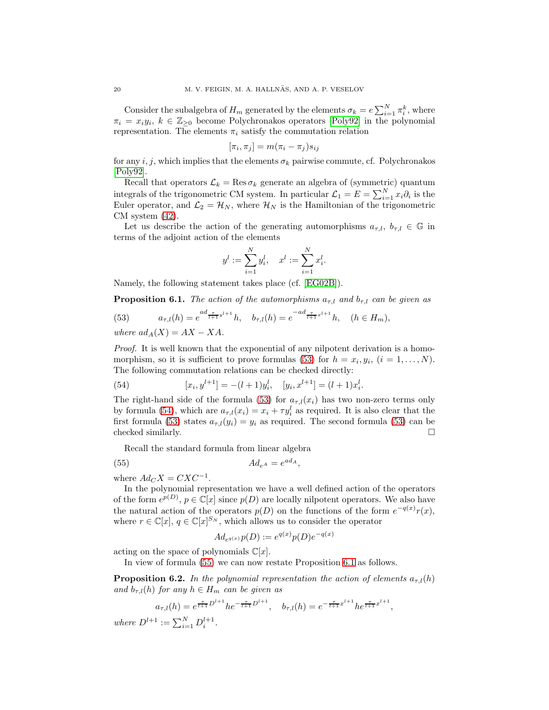Consider the subalgebra of  $H_m$  generated by the elements  $\sigma_k = e \sum_{i=1}^N \pi_i^k$ , where  $\pi_i = x_i y_i, k \in \mathbb{Z}_{\geq 0}$  become Polychronakos operators [\[Poly92\]](#page-30-17) in the polynomial representation. The elements  $\pi_i$  satisfy the commutation relation

$$
[\pi_i, \pi_j] = m(\pi_i - \pi_j) s_{ij}
$$

for any i, j, which implies that the elements  $\sigma_k$  pairwise commute, cf. Polychronakos [\[Poly92\]](#page-30-17).

Recall that operators  $\mathcal{L}_k = \text{Res}\,\sigma_k$  generate an algebra of (symmetric) quantum integrals of the trigonometric CM system. In particular  $\mathcal{L}_1 = E = \sum_{i=1}^{N} x_i \partial_i$  is the Euler operator, and  $\mathcal{L}_2 = \mathcal{H}_N$ , where  $\mathcal{H}_N$  is the Hamiltonian of the trigonometric CM system [\(42\)](#page-13-0).

Let us describe the action of the generating automorphisms  $a_{\tau,l}, b_{\tau,l} \in \mathbb{G}$  in terms of the adjoint action of the elements

$$
y^{l} := \sum_{i=1}^{N} y_{i}^{l}, \quad x^{l} := \sum_{i=1}^{N} x_{i}^{l}.
$$

Namely, the following statement takes place (cf. [\[EG02B\]](#page-29-17)).

<span id="page-19-3"></span>**Proposition 6.1.** The action of the automorphisms  $a_{\tau,l}$  and  $b_{\tau,l}$  can be given as

<span id="page-19-0"></span>(53) 
$$
a_{\tau,l}(h) = e^{ad_{\frac{\tau}{l+1}y^{l+1}}}h, \quad b_{\tau,l}(h) = e^{-ad_{\frac{\tau}{l+1}x^{l+1}}}h, \quad (h \in H_m),
$$

where  $ad_A(X) = AX - XA$ .

Proof. It is well known that the exponential of any nilpotent derivation is a homo-morphism, so it is sufficient to prove formulas [\(53\)](#page-19-0) for  $h = x_i, y_i, (i = 1, ..., N)$ . The following commutation relations can be checked directly:

<span id="page-19-1"></span>(54) 
$$
[x_i, y^{l+1}] = -(l+1)y_i^l, \quad [y_i, x^{l+1}] = (l+1)x_i^l.
$$

The right-hand side of the formula [\(53\)](#page-19-0) for  $a_{\tau,l}(x_i)$  has two non-zero terms only by formula [\(54\)](#page-19-1), which are  $a_{\tau,l}(x_i) = x_i + \tau y_i^l$  as required. It is also clear that the first formula [\(53\)](#page-19-0) states  $a_{\tau,l}(y_i) = y_i$  as required. The second formula (53) can be checked similarly.  $\Box$ 

Recall the standard formula from linear algebra

$$
(55) \t\t\t Ad_{e^A} = e^{ad_A},
$$

where  $Ad_C X = C X C^{-1}$ .

In the polynomial representation we have a well defined action of the operators of the form  $e^{p(D)}$ ,  $p \in \mathbb{C}[x]$  since  $p(D)$  are locally nilpotent operators. We also have the natural action of the operators  $p(D)$  on the functions of the form  $e^{-q(x)}r(x)$ , where  $r \in \mathbb{C}[x]$ ,  $q \in \mathbb{C}[x]^{S_N}$ , which allows us to consider the operator

<span id="page-19-2"></span>
$$
Ad_{e^{q(x)}}p(D) := e^{q(x)}p(D)e^{-q(x)}
$$

acting on the space of polynomials  $\mathbb{C}[x]$ .

In view of formula [\(55\)](#page-19-2) we can now restate Proposition [6.1](#page-19-3) as follows.

<span id="page-19-4"></span>**Proposition 6.2.** In the polynomial representation the action of elements  $a_{\tau,l}(h)$ and  $b_{\tau,l}(h)$  for any  $h \in H_m$  can be given as

$$
a_{\tau,l}(h) = e^{\frac{\tau}{l+1}D^{l+1}}he^{-\frac{\tau}{l+1}D^{l+1}}, \quad b_{\tau,l}(h) = e^{-\frac{\tau}{l+1}x^{l+1}}he^{\frac{\tau}{l+1}x^{l+1}},
$$

where  $D^{l+1} := \sum_{i=1}^{N} D_i^{l+1}$ .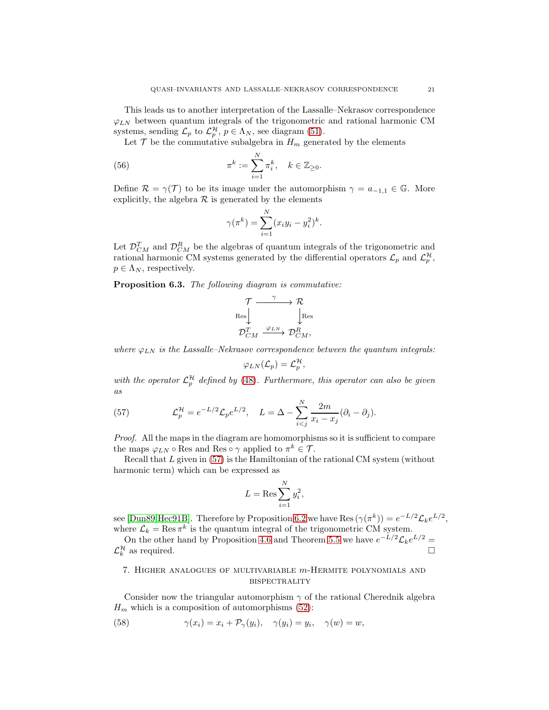This leads us to another interpretation of the Lassalle–Nekrasov correspondence  $\varphi_{LN}$  between quantum integrals of the trigonometric and rational harmonic CM systems, sending  $\mathcal{L}_p$  to  $\mathcal{L}_p^{\mathcal{H}}, p \in \Lambda_N$ , see diagram [\(51\)](#page-17-0).

Let  $\mathcal T$  be the commutative subalgebra in  $H_m$  generated by the elements

(56) 
$$
\pi^k := \sum_{i=1}^N \pi_i^k, \quad k \in \mathbb{Z}_{\geq 0}.
$$

Define  $\mathcal{R} = \gamma(\mathcal{T})$  to be its image under the automorphism  $\gamma = a_{-1,1} \in \mathbb{G}$ . More explicitly, the algebra  $R$  is generated by the elements

<span id="page-20-3"></span>
$$
\gamma(\pi^{k}) = \sum_{i=1}^{N} (x_{i}y_{i} - y_{i}^{2})^{k}.
$$

Let  $\mathcal{D}_{CM}^T$  and  $\mathcal{D}_{CM}^R$  be the algebras of quantum integrals of the trigonometric and rational harmonic CM systems generated by the differential operators  $\mathcal{L}_p$  and  $\mathcal{L}_p^{\mathcal{H}}$ ,  $p \in \Lambda_N$ , respectively.

Proposition 6.3. The following diagram is commutative:

$$
\begin{array}{ccc}\n\mathcal{T} & \xrightarrow{\gamma} & \mathcal{R} \\
\downarrow^{\text{Res}} & & \downarrow^{\text{Res}} \\
\mathcal{D}_{CM}^T & \xrightarrow{\varphi_{LN}} & \mathcal{D}_{CM}^R,\n\end{array}
$$

where  $\varphi_{LN}$  is the Lassalle–Nekrasov correspondence between the quantum integrals:

$$
\varphi_{LN}(\mathcal{L}_p) = \mathcal{L}_p^{\mathcal{H}}
$$

,

with the operator  $\mathcal{L}_p^{\mathcal{H}}$  defined by [\(48\)](#page-15-0). Furthermore, this operator can also be given as

<span id="page-20-1"></span>(57) 
$$
\mathcal{L}_p^{\mathcal{H}} = e^{-L/2} \mathcal{L}_p e^{L/2}, \quad L = \Delta - \sum_{i < j}^N \frac{2m}{x_i - x_j} (\partial_i - \partial_j).
$$

Proof. All the maps in the diagram are homomorphisms so it is sufficient to compare the maps  $\varphi_{LN} \circ \text{Res}$  and  $\text{Res} \circ \gamma$  applied to  $\pi^k \in \mathcal{T}$ .

Recall that  $L$  given in  $(57)$  is the Hamiltonian of the rational CM system (without harmonic term) which can be expressed as

$$
L = \text{Res}\sum_{i=1}^{N} y_i^2,
$$

see [\[Dun89,](#page-29-16)[Hec91B\]](#page-30-18). Therefore by Proposition [6.2](#page-19-4) we have Res  $(\gamma(\pi^k)) = e^{-L/2} \mathcal{L}_k e^{L/2}$ , where  $\mathcal{L}_k = \text{Res } \pi^k$  is the quantum integral of the trigonometric CM system.

On the other hand by Proposition [4.6](#page-11-0) and Theorem [5.5](#page-16-2) we have  $e^{-L/2} \mathcal{L}_k e^{L/2} =$  $\mathcal{L}_k^{\mathcal{H}}$ as required.  $\Box$ 

# <span id="page-20-0"></span>7. Higher analogues of multivariable m-Hermite polynomials and **BISPECTRALITY**

Consider now the triangular automorphism  $\gamma$  of the rational Cherednik algebra  $H_m$  which is a composition of automorphisms [\(52\)](#page-18-1):

<span id="page-20-2"></span>(58) 
$$
\gamma(x_i) = x_i + \mathcal{P}_\gamma(y_i), \quad \gamma(y_i) = y_i, \quad \gamma(w) = w,
$$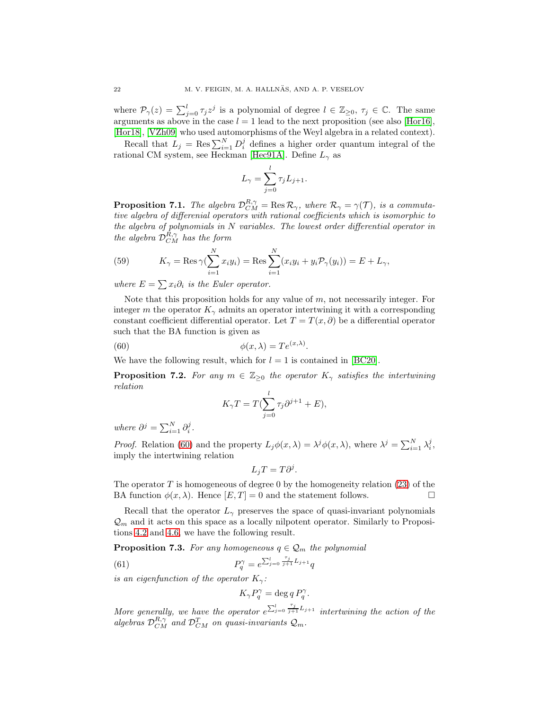where  $\mathcal{P}_{\gamma}(z) = \sum_{j=0}^{l} \tau_j z^j$  is a polynomial of degree  $l \in \mathbb{Z}_{\geq 0}, \tau_j \in \mathbb{C}$ . The same arguments as above in the case  $l = 1$  lead to the next proposition (see also [\[Hor16\]](#page-30-22), [\[Hor18\]](#page-30-23), [\[VZh09\]](#page-31-0) who used automorphisms of the Weyl algebra in a related context).

Recall that  $L_j = \text{Res}\sum_{i=1}^N D_i^j$  defines a higher order quantum integral of the rational CM system, see Heckman [\[Hec91A\]](#page-30-24). Define  $L_{\gamma}$  as

$$
L_{\gamma} = \sum_{j=0}^{l} \tau_j L_{j+1}.
$$

<span id="page-21-4"></span>**Proposition 7.1.** The algebra  $\mathcal{D}_{CM}^{R,\gamma} = \text{Res } \mathcal{R}_{\gamma}$ , where  $\mathcal{R}_{\gamma} = \gamma(\mathcal{T})$ , is a commutative algebra of differenial operators with rational coefficients which is isomorphic to the algebra of polynomials in N variables. The lowest order differential operator in the algebra  $\mathcal{D}_{CM}^{R,\gamma}$  has the form

<span id="page-21-2"></span>(59) 
$$
K_{\gamma} = \text{Res}_{\gamma}(\sum_{i=1}^{N} x_i y_i) = \text{Res}_{i=1}^{N} (x_i y_i + y_i \mathcal{P}_{\gamma}(y_i)) = E + L_{\gamma},
$$

where  $E = \sum x_i \partial_i$  is the Euler operator.

Note that this proposition holds for any value of  $m$ , not necessarily integer. For integer m the operator  $K_{\gamma}$  admits an operator intertwining it with a corresponding constant coefficient differential operator. Let  $T = T(x, \partial)$  be a differential operator such that the BA function is given as

.

(60) 
$$
\phi(x,\lambda) = Te^{(x,\lambda)}
$$

We have the following result, which for  $l = 1$  is contained in [\[BC20\]](#page-28-3).

**Proposition 7.2.** For any  $m \in \mathbb{Z}_{\geq 0}$  the operator  $K_{\gamma}$  satisfies the intertwining relation

<span id="page-21-0"></span>
$$
K_{\gamma}T = T(\sum_{j=0}^{l} \tau_j \partial^{j+1} + E),
$$

where  $\partial^j = \sum_{i=1}^N \partial_i^j$ .

*Proof.* Relation [\(60\)](#page-21-0) and the property  $L_j \phi(x, \lambda) = \lambda^j \phi(x, \lambda)$ , where  $\lambda^j = \sum_{i=1}^N \lambda_i^j$ , imply the intertwining relation

$$
L_j T = T \partial^j.
$$

The operator  $T$  is homogeneous of degree 0 by the homogeneity relation [\(23\)](#page-8-3) of the BA function  $\phi(x, \lambda)$ . Hence  $[E, T] = 0$  and the statement follows.

Recall that the operator  $L_{\gamma}$  preserves the space of quasi-invariant polynomials  $\mathcal{Q}_m$  and it acts on this space as a locally nilpotent operator. Similarly to Propositions [4.2](#page-10-0) and [4.6,](#page-11-0) we have the following result.

<span id="page-21-3"></span>**Proposition 7.3.** For any homogeneous  $q \in \mathcal{Q}_m$  the polynomial

(61) 
$$
P_q^{\gamma} = e^{\sum_{j=0}^l \frac{\tau_j}{j+1} L_{j+1}} q
$$

is an eigenfunction of the operator  $K_{\gamma}$ :

<span id="page-21-1"></span>
$$
K_\gamma P_q^\gamma = \deg q\, P_q^\gamma.
$$

More generally, we have the operator  $e^{\sum_{j=0}^l \frac{\tau_j}{j+1} L_{j+1}}$  intertwining the action of the algebras  $\mathcal{D}_{CM}^{R,\gamma}$  and  $\mathcal{D}_{CM}^{T}$  on quasi-invariants  $\mathcal{Q}_m$ .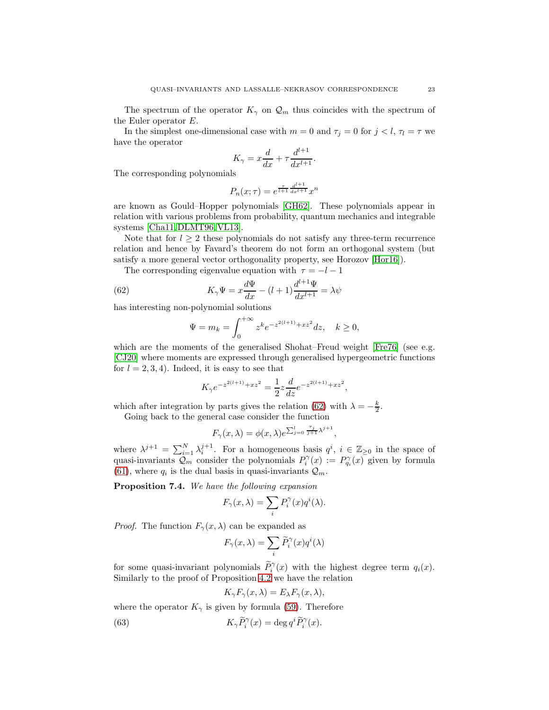The spectrum of the operator  $K_{\gamma}$  on  $\mathcal{Q}_m$  thus coincides with the spectrum of the Euler operator E.

In the simplest one-dimensional case with  $m = 0$  and  $\tau_j = 0$  for  $j < l$ ,  $\tau_l = \tau$  we have the operator

$$
K_{\gamma} = x\frac{d}{dx} + \tau \frac{d^{l+1}}{dx^{l+1}}.
$$

The corresponding polynomials

$$
P_n(x;\tau) = e^{\frac{\tau}{l+1}\frac{d^{l+1}}{dx^{l+1}}}x^n
$$

are known as Gould–Hopper polynomials [\[GH62\]](#page-30-10). These polynomials appear in relation with various problems from probability, quantum mechanics and integrable systems [\[Cha11,](#page-29-5) [DLMT96,](#page-29-6) [VL13\]](#page-30-11).

Note that for  $l \geq 2$  these polynomials do not satisfy any three-term recurrence relation and hence by Favard's theorem do not form an orthogonal system (but satisfy a more general vector orthogonality property, see Horozov [\[Hor16\]](#page-30-22)).

The corresponding eigenvalue equation with  $\tau = -l - 1$ 

(62) 
$$
K_{\gamma}\Psi = x\frac{d\Psi}{dx} - (l+1)\frac{d^{l+1}\Psi}{dx^{l+1}} = \lambda\psi
$$

has interesting non-polynomial solutions

<span id="page-22-0"></span>
$$
\Psi = m_k = \int_0^{+\infty} z^k e^{-z^{2(l+1)} + xz^2} dz, \quad k \ge 0,
$$

which are the moments of the generalised Shohat–Freud weight [\[Fre76\]](#page-29-19) (see e.g. [\[CJ20\]](#page-29-20) where moments are expressed through generalised hypergeometric functions for  $l = 2, 3, 4$ . Indeed, it is easy to see that

$$
K_\gamma e^{-z^{2(l+1)}+xz^2} = \frac{1}{2}z\frac{d}{dz}e^{-z^{2(l+1)}+xz^2},
$$

which after integration by parts gives the relation [\(62\)](#page-22-0) with  $\lambda = -\frac{k}{2}$ .

Going back to the general case consider the function

$$
F_{\gamma}(x,\lambda) = \phi(x,\lambda)e^{\sum_{j=0}^{l} \frac{\tau_j}{j+1}\lambda^{j+1}},
$$

where  $\lambda^{j+1} = \sum_{i=1}^N \lambda_i^{j+1}$ . For a homogeneous basis  $q^i$ ,  $i \in \mathbb{Z}_{\geq 0}$  in the space of quasi-invariants  $Q_m$  consider the polynomials  $P_i^{\gamma}(x) := P_{q_i}^{\gamma}(x)$  given by formula [\(61\)](#page-21-1), where  $q_i$  is the dual basis in quasi-invariants  $\mathcal{Q}_m$ .

<span id="page-22-2"></span>Proposition 7.4. We have the following expansion

$$
F_{\gamma}(x,\lambda) = \sum_{i} P_{i}^{\gamma}(x) q^{i}(\lambda).
$$

*Proof.* The function  $F_{\gamma}(x, \lambda)$  can be expanded as

$$
F_{\gamma}(x,\lambda)=\sum_{i}\widetilde{P}_{i}^{\gamma}(x)q^{i}(\lambda)
$$

for some quasi-invariant polynomials  $\tilde{P}_i^{\gamma}(x)$  with the highest degree term  $q_i(x)$ . Similarly to the proof of Proposition [4.2](#page-10-0) we have the relation

<span id="page-22-1"></span>
$$
K_{\gamma}F_{\gamma}(x,\lambda) = E_{\lambda}F_{\gamma}(x,\lambda),
$$

where the operator  $K_{\gamma}$  is given by formula [\(59\)](#page-21-2). Therefore

(63) 
$$
K_{\gamma} \widetilde{P}_{i}^{\gamma}(x) = \deg q^{i} \widetilde{P}_{i}^{\gamma}(x).
$$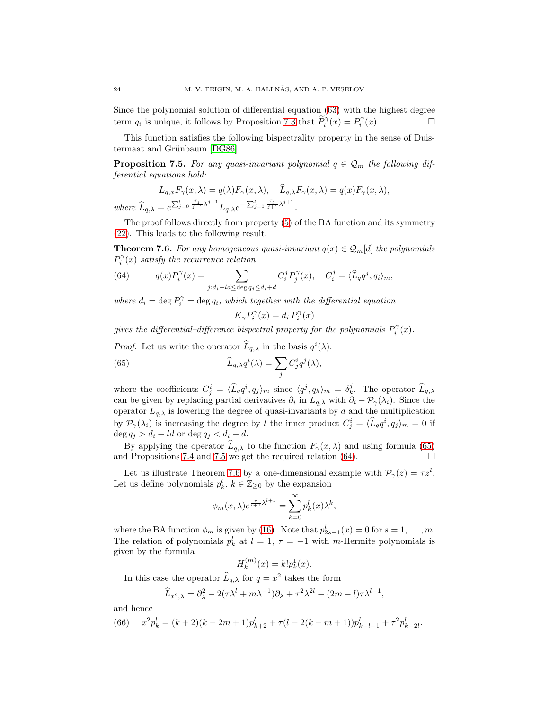Since the polynomial solution of differential equation [\(63\)](#page-22-1) with the highest degree term  $q_i$  is unique, it follows by Proposition [7.3](#page-21-3) that  $\widetilde{P}_i^{\gamma}(x) = P_i^{\gamma}(x)$ .

This function satisfies the following bispectrality property in the sense of Duis-termaat and Grünbaum [\[DG86\]](#page-29-7).

<span id="page-23-1"></span>**Proposition 7.5.** For any quasi-invariant polynomial  $q \in \mathcal{Q}_m$  the following differential equations hold:

$$
L_{q,x}F_{\gamma}(x,\lambda) = q(\lambda)F_{\gamma}(x,\lambda), \quad \widehat{L}_{q,\lambda}F_{\gamma}(x,\lambda) = q(x)F_{\gamma}(x,\lambda),
$$
  
where  $\widehat{L}_{q,\lambda} = e^{\sum_{j=0}^{l} \frac{\tau_j}{j+1}\lambda^{j+1}}L_{q,\lambda}e^{-\sum_{j=0}^{l} \frac{\tau_j}{j+1}\lambda^{j+1}}.$ 

The proof follows directly from property [\(5\)](#page-3-2) of the BA function and its symmetry [\(22\)](#page-8-2). This leads to the following result.

<span id="page-23-3"></span>**Theorem 7.6.** For any homogeneous quasi-invariant  $q(x) \in \mathcal{Q}_m[d]$  the polynomials  $P_i^{\gamma}(x)$  satisfy the recurrence relation

<span id="page-23-2"></span>(64) 
$$
q(x)P_i^{\gamma}(x) = \sum_{j:d_i - ld \le \deg q_j \le d_i + d} C_i^j P_j^{\gamma}(x), \quad C_i^j = \langle \widehat{L}_q q^j, q_i \rangle_m,
$$

where  $d_i = \deg P_i^{\gamma} = \deg q_i$ , which together with the differential equation

<span id="page-23-0"></span>
$$
K_{\gamma}P_i^{\gamma}(x) = d_i P_i^{\gamma}(x)
$$

gives the differential-difference bispectral property for the polynomials  $P_i^{\gamma}(x)$ .

*Proof.* Let us write the operator  $\widehat{L}_{q,\lambda}$  in the basis  $q^{i}(\lambda)$ :

(65) 
$$
\widehat{L}_{q,\lambda}q^{i}(\lambda) = \sum_{j} C_{j}^{i}q^{j}(\lambda),
$$

where the coefficients  $C_j^i = \langle \widehat{L}_q q^i, q_j \rangle_m$  since  $\langle q^j, q_k \rangle_m = \delta_k^j$ . The operator  $\widehat{L}_{q,\lambda}$ can be given by replacing partial derivatives  $\partial_i$  in  $L_{q,\lambda}$  with  $\partial_i - \mathcal{P}_{\gamma}(\lambda_i)$ . Since the operator  $L_{q,\lambda}$  is lowering the degree of quasi-invariants by d and the multiplication by  $\mathcal{P}_{\gamma}(\lambda_i)$  is increasing the degree by l the inner product  $C_j^i = \langle \hat{L}_q q^i, q_j \rangle_m = 0$  if  $\deg q_j > d_i + ld$  or  $\deg q_j < d_i - d$ .

By applying the operator  $L_{q,\lambda}$  to the function  $F_{\gamma}(x, \lambda)$  and using formula [\(65\)](#page-23-0) d Propositions 7.4 and 7.5 we get the required relation (64). and Propositions [7.4](#page-22-2) and [7.5](#page-23-1) we get the required relation [\(64\)](#page-23-2).

Let us illustrate Theorem [7.6](#page-23-3) by a one-dimensional example with  $\mathcal{P}_{\gamma}(z) = \tau z^{l}$ . Let us define polynomials  $p_k^l$ ,  $k \in \mathbb{Z}_{\geq 0}$  by the expansion

$$
\phi_m(x,\lambda)e^{\frac{\tau}{l+1}\lambda^{l+1}} = \sum_{k=0}^{\infty} p_k^l(x)\lambda^k,
$$

where the BA function  $\phi_m$  is given by [\(16\)](#page-5-4). Note that  $p_{2s-1}^l(x) = 0$  for  $s = 1, \ldots, m$ . The relation of polynomials  $p_k^l$  at  $l = 1, \tau = -1$  with m-Hermite polynomials is given by the formula

$$
H_k^{(m)}(x) = k! p_k^1(x).
$$

In this case the operator  $\widehat{L}_{q,\lambda}$  for  $q = x^2$  takes the form

$$
\widehat{L}_{x^2,\lambda} = \partial_{\lambda}^2 - 2(\tau\lambda^l + m\lambda^{-1})\partial_{\lambda} + \tau^2\lambda^{2l} + (2m - l)\tau\lambda^{l-1},
$$

and hence

<span id="page-23-4"></span>(66) 
$$
x^{2}p_{k}^{l} = (k+2)(k-2m+1)p_{k+2}^{l} + \tau(l-2(k-m+1))p_{k-l+1}^{l} + \tau^{2}p_{k-2l}^{l}.
$$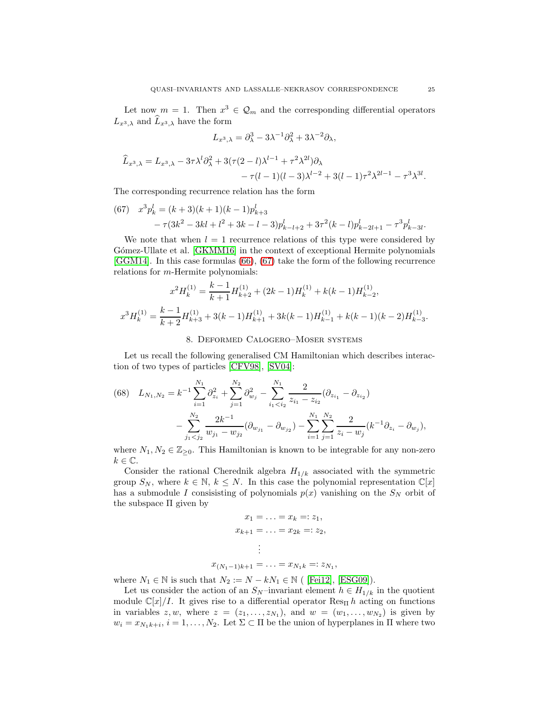Let now  $m = 1$ . Then  $x^3 \in \mathcal{Q}_m$  and the corresponding differential operators  $L_{x^3,\lambda}$  and  $L_{x^3,\lambda}$  have the form

$$
L_{x^3,\lambda} = \partial_{\lambda}^3 - 3\lambda^{-1}\partial_{\lambda}^2 + 3\lambda^{-2}\partial_{\lambda},
$$

$$
\hat{L}_{x^3,\lambda} = L_{x^3,\lambda} - 3\tau \lambda^l \partial_\lambda^2 + 3(\tau(2-l)\lambda^{l-1} + \tau^2 \lambda^{2l})\partial_\lambda \n- \tau(l-1)(l-3)\lambda^{l-2} + 3(l-1)\tau^2 \lambda^{2l-1} - \tau^3 \lambda^{3l}.
$$

The corresponding recurrence relation has the form

<span id="page-24-1"></span>(67) 
$$
x^{3}p_{k}^{l} = (k+3)(k+1)(k-1)p_{k+3}^{l}
$$

$$
- \tau(3k^{2} - 3kl + l^{2} + 3k - l - 3)p_{k-l+2}^{l} + 3\tau^{2}(k-l)p_{k-2l+1}^{l} - \tau^{3}p_{k-3l}^{l}.
$$

We note that when  $l = 1$  recurrence relations of this type were considered by Gómez-Ullate et al. [\[GKMM16\]](#page-30-25) in the context of exceptional Hermite polynomials [\[GGM14\]](#page-29-21). In this case formulas [\(66\)](#page-23-4), [\(67\)](#page-24-1) take the form of the following recurrence relations for m-Hermite polynomials:

$$
x^{2}H_{k}^{(1)} = \frac{k-1}{k+1}H_{k+2}^{(1)} + (2k-1)H_{k}^{(1)} + k(k-1)H_{k-2}^{(1)},
$$
  

$$
x^{3}H_{k}^{(1)} = \frac{k-1}{k+2}H_{k+3}^{(1)} + 3(k-1)H_{k+1}^{(1)} + 3k(k-1)H_{k-1}^{(1)} + k(k-1)(k-2)H_{k-3}^{(1)}.
$$

### 8. Deformed Calogero–Moser systems

<span id="page-24-0"></span>Let us recall the following generalised CM Hamiltonian which describes interaction of two types of particles [\[CFV98\]](#page-29-8), [\[SV04\]](#page-30-12):

<span id="page-24-2"></span>(68) 
$$
L_{N_1,N_2} = k^{-1} \sum_{i=1}^{N_1} \partial_{z_i}^2 + \sum_{j=1}^{N_2} \partial_{w_j}^2 - \sum_{i_1 < i_2}^{N_1} \frac{2}{z_{i_1} - z_{i_2}} (\partial_{z_{i_1}} - \partial_{z_{i_2}}) - \sum_{j_1 < j_2}^{N_2} \frac{2k^{-1}}{w_{j_1} - w_{j_2}} (\partial_{w_{j_1}} - \partial_{w_{j_2}}) - \sum_{i=1}^{N_1} \sum_{j=1}^{N_2} \frac{2}{z_i - w_j} (k^{-1} \partial_{z_i} - \partial_{w_j}),
$$

where  $N_1, N_2 \in \mathbb{Z}_{\geq 0}$ . This Hamiltonian is known to be integrable for any non-zero  $k \in \mathbb{C}$ .

Consider the rational Cherednik algebra  $H_{1/k}$  associated with the symmetric group  $S_N$ , where  $k \in \mathbb{N}$ ,  $k \leq N$ . In this case the polynomial representation  $\mathbb{C}[x]$ has a submodule I consisisting of polynomials  $p(x)$  vanishing on the  $S<sub>N</sub>$  orbit of the subspace Π given by

$$
x_1 = \ldots = x_k =: z_1,
$$
  
\n
$$
x_{k+1} = \ldots = x_{2k} =: z_2,
$$
  
\n
$$
\vdots
$$
  
\n
$$
x_{(N_1-1)k+1} = \ldots = x_{N_1k} =: z_{N_1},
$$

where  $N_1 \in \mathbb{N}$  is such that  $N_2 := N - kN_1 \in \mathbb{N}$  ( [\[Fei12\]](#page-29-22), [\[ESG09\]](#page-29-23)).

Let us consider the action of an  $S_N$ –invariant element  $h \in H_{1/k}$  in the quotient module  $\mathbb{C}[x]/I$ . It gives rise to a differential operator  $\text{Res}_{\Pi} h$  acting on functions in variables  $z, w$ , where  $z = (z_1, \ldots, z_{N_1})$ , and  $w = (w_1, \ldots, w_{N_2})$  is given by  $w_i = x_{N_1k+i}, i = 1, \ldots, N_2$ . Let  $\Sigma \subset \Pi$  be the union of hyperplanes in  $\Pi$  where two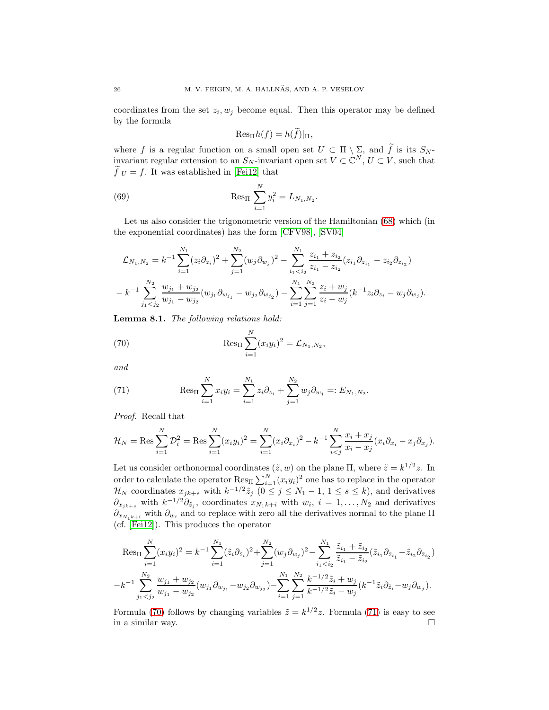coordinates from the set  $z_i, w_j$  become equal. Then this operator may be defined by the formula

<span id="page-25-2"></span>
$$
\mathrm{Res}_{\Pi}h(f)=h(\widetilde{f})|_{\Pi},
$$

where f is a regular function on a small open set  $U \subset \Pi \setminus \Sigma$ , and  $\tilde{f}$  is its  $S_N$ invariant regular extension to an  $S_N$ -invariant open set  $V \subset \mathbb{C}^N$ ,  $U \subset V$ , such that  $f|_U = f$ . It was established in [\[Fei12\]](#page-29-22) that

(69) 
$$
\operatorname{Res}_{\Pi} \sum_{i=1}^{N} y_i^2 = L_{N_1, N_2}.
$$

Let us also consider the trigonometric version of the Hamiltonian [\(68\)](#page-24-2) which (in the exponential coordinates) has the form [\[CFV98\]](#page-29-8), [\[SV04\]](#page-30-12)

$$
\mathcal{L}_{N_1,N_2} = k^{-1} \sum_{i=1}^{N_1} (z_i \partial_{z_i})^2 + \sum_{j=1}^{N_2} (w_j \partial_{w_j})^2 - \sum_{i_1 < i_2}^{N_1} \frac{z_{i_1} + z_{i_2}}{z_{i_1} - z_{i_2}} (z_{i_1} \partial_{z_{i_1}} - z_{i_2} \partial_{z_{i_2}})
$$

$$
- k^{-1} \sum_{j_1 < j_2}^{N_2} \frac{w_{j_1} + w_{j_2}}{w_{j_1} - w_{j_2}} (w_{j_1} \partial_{w_{j_1}} - w_{j_2} \partial_{w_{j_2}}) - \sum_{i=1}^{N_1} \sum_{j=1}^{N_2} \frac{z_i + w_j}{z_i - w_j} (k^{-1} z_i \partial_{z_i} - w_j \partial_{w_j}).
$$

<span id="page-25-3"></span>Lemma 8.1. The following relations hold:

<span id="page-25-0"></span>(70) 
$$
\operatorname{Res}_{\Pi} \sum_{i=1}^{N} (x_i y_i)^2 = \mathcal{L}_{N_1, N_2},
$$

and

<span id="page-25-1"></span>(71) 
$$
\operatorname{Res}_{\Pi} \sum_{i=1}^{N} x_i y_i = \sum_{i=1}^{N_1} z_i \partial_{z_i} + \sum_{j=1}^{N_2} w_j \partial_{w_j} =: E_{N_1, N_2}.
$$

Proof. Recall that

$$
\mathcal{H}_N = \text{Res} \sum_{i=1}^N \mathcal{D}_i^2 = \text{Res} \sum_{i=1}^N (x_i y_i)^2 = \sum_{i=1}^N (x_i \partial_{x_i})^2 - k^{-1} \sum_{i < j}^N \frac{x_i + x_j}{x_i - x_j} (x_i \partial_{x_i} - x_j \partial_{x_j}).
$$

Let us consider orthonormal coordinates  $(\tilde{z}, w)$  on the plane  $\Pi$ , where  $\tilde{z} = k^{1/2}z$ . In order to calculate the operator  $\text{Res}_{\Pi} \sum_{i=1}^{N} (x_i y_i)^2$  one has to replace in the operator  $\mathcal{H}_N$  coordinates  $x_{jk+s}$  with  $k^{-1/2}\tilde{z}_j$   $(0 \le j \le N_1 - 1, 1 \le s \le k)$ , and derivatives  $\partial_{x_{jk+s}}$  with  $k^{-1/2}\partial_{\tilde{z}_j}$ , coordinates  $x_{N_1k+i}$  with  $w_i$ ,  $i=1,\ldots,N_2$  and derivatives  $\partial_{x_{N_1k+i}}$  with  $\partial_{w_i}$  and to replace with zero all the derivatives normal to the plane  $\Pi$ (cf. [\[Fei12\]](#page-29-22)). This produces the operator

$$
\operatorname{Res}_{\Pi} \sum_{i=1}^{N} (x_i y_i)^2 = k^{-1} \sum_{i=1}^{N_1} (\tilde{z}_i \partial_{\tilde{z}_i})^2 + \sum_{j=1}^{N_2} (w_j \partial_{w_j})^2 - \sum_{i_1 < i_2}^{N_1} \frac{\tilde{z}_{i_1} + \tilde{z}_{i_2}}{\tilde{z}_{i_1} - \tilde{z}_{i_2}} (\tilde{z}_{i_1} \partial_{\tilde{z}_{i_1}} - \tilde{z}_{i_2} \partial_{\tilde{z}_{i_2}})
$$
\n
$$
-k^{-1} \sum_{j_1 < j_2}^{N_2} \frac{w_{j_1} + w_{j_2}}{w_{j_1} - w_{j_2}} (w_{j_1} \partial_{w_{j_1}} - w_{j_2} \partial_{w_{j_2}}) - \sum_{i=1}^{N_1} \sum_{j=1}^{N_2} \frac{k^{-1/2} \tilde{z}_i + w_j}{k^{-1/2} \tilde{z}_i - w_j} (k^{-1} \tilde{z}_i \partial_{\tilde{z}_i} - w_j \partial_{w_j}).
$$

Formula [\(70\)](#page-25-0) follows by changing variables  $\tilde{z} = k^{1/2}z$ . Formula [\(71\)](#page-25-1) is easy to see in a similar way.  $\Box$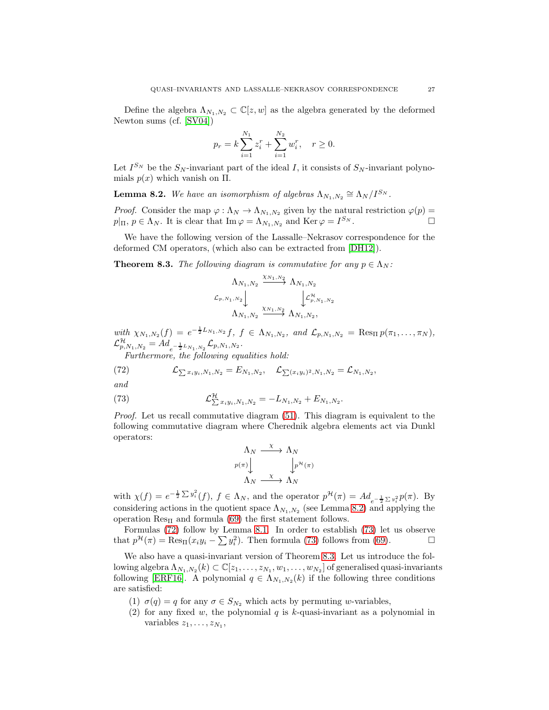Define the algebra  $\Lambda_{N_1,N_2} \subset \mathbb{C}[z,w]$  as the algebra generated by the deformed Newton sums (cf. [\[SV04\]](#page-30-12))

$$
p_r = k \sum_{i=1}^{N_1} z_i^r + \sum_{i=1}^{N_2} w_i^r, \quad r \ge 0.
$$

Let  $I^{S_N}$  be the  $S_N$ -invariant part of the ideal I, it consists of  $S_N$ -invariant polynomials  $p(x)$  which vanish on  $\Pi$ .

<span id="page-26-0"></span>**Lemma 8.2.** We have an isomorphism of algebras  $\Lambda_{N_1,N_2} \cong \Lambda_N/I^{S_N}$ .

*Proof.* Consider the map  $\varphi : \Lambda_N \to \Lambda_{N_1,N_2}$  given by the natural restriction  $\varphi(p)$  =  $p|_{\Pi}, p \in \Lambda_N$ . It is clear that  $\text{Im}\,\varphi = \Lambda_{N_1,N_2}$  and  $\text{Ker}\,\varphi = I^{S_N}$ .

We have the following version of the Lassalle–Nekrasov correspondence for the deformed CM operators, (which also can be extracted from [\[DH12\]](#page-29-24)).

<span id="page-26-3"></span>**Theorem 8.3.** The following diagram is commutative for any  $p \in \Lambda_N$ :

$$
\begin{array}{c}\n\Lambda_{N_1,N_2} \xrightarrow{\chi_{N_1,N_2}} \Lambda_{N_1,N_2} \\
\mathcal{L}_{p,N_1,N_2} \downarrow \qquad \qquad \downarrow \mathcal{L}_{p,N_1,N_2}^{\mathcal{H}} \\
\Lambda_{N_1,N_2} \xrightarrow{\chi_{N_1,N_2}} \Lambda_{N_1,N_2},\n\end{array}
$$

with  $\chi_{N_1,N_2}(f) = e^{-\frac{1}{2}L_{N_1,N_2}}f, f \in \Lambda_{N_1,N_2}, \text{ and } \mathcal{L}_{p,N_1,N_2} = \text{Res}_{\Pi} p(\pi_1,\ldots,\pi_N),$  ${\cal L}^{\cal H}_{p,N_1,N_2} = Ad_{e^{-\frac{1}{2}L_{N_1,N_2}}}{\cal L}_{p,N_1,N_2}.$ 

<span id="page-26-1"></span>Furthermore, the following equalities hold:

(72) 
$$
\mathcal{L}_{\sum x_i y_i, N_1, N_2} = E_{N_1, N_2}, \quad \mathcal{L}_{\sum (x_i y_i)^2, N_1, N_2} = \mathcal{L}_{N_1, N_2},
$$

and

(73) 
$$
\mathcal{L}_{\sum x_i y_i, N_1, N_2}^{\mathcal{H}} = -L_{N_1, N_2} + E_{N_1, N_2}.
$$

Proof. Let us recall commutative diagram [\(51\)](#page-17-0). This diagram is equivalent to the following commutative diagram where Cherednik algebra elements act via Dunkl operators:

<span id="page-26-2"></span>
$$
\begin{array}{ccc}\n\Lambda_N & \xrightarrow{\chi} & \Lambda_N \\
\downarrow^{p(\pi)} & & \downarrow^{p(\pi)} \\
\Lambda_N & \xrightarrow{\chi} & \Lambda_N\n\end{array}
$$

with  $\chi(f) = e^{-\frac{1}{2}\sum y_i^2}(f)$ ,  $f \in \Lambda_N$ , and the operator  $p^{\mathcal{H}}(\pi) = Ad_{e^{-\frac{1}{2}\sum y_i^2}} p(\pi)$ . By considering actions in the quotient space  $\Lambda_{N_1,N_2}$  (see Lemma [8.2\)](#page-26-0) and applying the operation  $\text{Res}_{\Pi}$  and formula [\(69\)](#page-25-2) the first statement follows.

Formulas [\(72\)](#page-26-1) follow by Lemma [8.1.](#page-25-3) In order to establish [\(73\)](#page-26-2) let us observe that  $p^{\mathcal{H}}(\pi) = \text{Res}_{\Pi}(x_i y_i - \sum y_i^2)$ . Then formula [\(73\)](#page-26-2) follows from [\(69\)](#page-25-2).

We also have a quasi-invariant version of Theorem [8.3.](#page-26-3) Let us introduce the following algebra  $\Lambda_{N_1,N_2}(k) \subset \mathbb{C}[z_1,\ldots,z_{N_1},w_1,\ldots,w_{N_2}]$  of generalised quasi-invariants following [\[ERF16\]](#page-29-25). A polynomial  $q \in \Lambda_{N_1,N_2}(k)$  if the following three conditions are satisfied:

- (1)  $\sigma(q) = q$  for any  $\sigma \in S_{N_2}$  which acts by permuting w-variables,
- (2) for any fixed w, the polynomial q is k-quasi-invariant as a polynomial in variables  $z_1, \ldots, z_{N_1}$ ,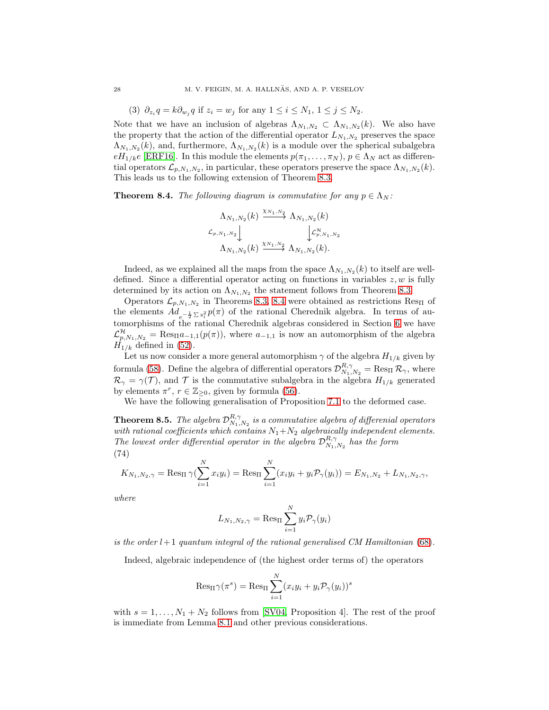(3)  $\partial_{z_i} q = k \partial_{w_j} q$  if  $z_i = w_j$  for any  $1 \le i \le N_1, 1 \le j \le N_2$ .

Note that we have an inclusion of algebras  $\Lambda_{N_1,N_2} \subset \Lambda_{N_1,N_2}(k)$ . We also have the property that the action of the differential operator  $L_{N_1,N_2}$  preserves the space  $\Lambda_{N_1,N_2}(k)$ , and, furthermore,  $\Lambda_{N_1,N_2}(k)$  is a module over the spherical subalgebra  $eH_{1/k}e$  [\[ERF16\]](#page-29-25). In this module the elements  $p(\pi_1, \ldots, \pi_N)$ ,  $p \in \Lambda_N$  act as differential operators  $\mathcal{L}_{p,N_1,N_2}$ , in particular, these operators preserve the space  $\Lambda_{N_1,N_2}(k)$ . This leads us to the following extension of Theorem [8.3.](#page-26-3)

<span id="page-27-0"></span>**Theorem 8.4.** The following diagram is commutative for any  $p \in \Lambda_N$ :

$$
\Lambda_{N_1,N_2}(k) \xrightarrow{\chi_{N_1,N_2}} \Lambda_{N_1,N_2}(k)
$$
  

$$
\mathcal{L}_{p,N_1,N_2} \downarrow \qquad \qquad \downarrow \mathcal{L}_{p,N_1,N_2}^{\mathcal{H}} \Lambda_{N_1,N_2}(k) \xrightarrow{\chi_{N_1,N_2}} \Lambda_{N_1,N_2}(k).
$$

Indeed, as we explained all the maps from the space  $\Lambda_{N_1,N_2}(k)$  to itself are welldefined. Since a differential operator acting on functions in variables  $z, w$  is fully determined by its action on  $\Lambda_{N_1,N_2}$  the statement follows from Theorem [8.3.](#page-26-3)

Operators  $\mathcal{L}_{p,N_1,N_2}$  in Theorems [8.3,](#page-26-3) [8.4](#page-27-0) were obtained as restrictions Res<sub>II</sub> of the elements  $Ad_{e^{-\frac{1}{2}\sum y_i^2}}p(\pi)$  of the rational Cherednik algebra. In terms of automorphisms of the rational Cherednik algebras considered in Section [6](#page-18-0) we have  $\mathcal{L}_{p,N_1,N_2}^{\mathcal{H}} = \text{Res}_{\Pi} a_{-1,1}(p(\pi))$ , where  $a_{-1,1}$  is now an automorphism of the algebra  $H_{1/k}$  defined in [\(52\)](#page-18-1).

Let us now consider a more general automorphism  $\gamma$  of the algebra  $H_{1/k}$  given by formula [\(58\)](#page-20-2). Define the algebra of differential operators  $\mathcal{D}_{N_1,N_2}^{R,\gamma} = \text{Res}_{\Pi} \mathcal{R}_{\gamma}$ , where  $\mathcal{R}_{\gamma} = \gamma(\mathcal{T})$ , and  $\mathcal{T}$  is the commutative subalgebra in the algebra  $H_{1/k}$  generated by elements  $\pi^r$ ,  $r \in \mathbb{Z}_{\geq 0}$ , given by formula [\(56\)](#page-20-3).

We have the following generalisation of Proposition [7.1](#page-21-4) to the deformed case.

**Theorem 8.5.** The algebra  $\mathcal{D}_{N_1,N_2}^{R,\gamma}$  is a commutative algebra of differenial operators with rational coefficients which contains  $N_1+N_2$  algebraically independent elements. The lowest order differential operator in the algebra  $\mathcal{D}_{N_1,N_2}^{R,\gamma}$  has the form (74)

<span id="page-27-1"></span>
$$
K_{N_1,N_2,\gamma} = \text{Res}_{\Pi} \gamma(\sum_{i=1}^N x_i y_i) = \text{Res}_{\Pi} \sum_{i=1}^N (x_i y_i + y_i \mathcal{P}_{\gamma}(y_i)) = E_{N_1,N_2} + L_{N_1,N_2,\gamma},
$$

where

$$
L_{N_1,N_2,\gamma} = \text{Res}_\Pi \sum_{i=1}^N y_i \mathcal{P}_\gamma(y_i)
$$

is the order  $l+1$  quantum integral of the rational generalised CM Hamiltonian [\(68\)](#page-24-2).

Indeed, algebraic independence of (the highest order terms of) the operators

$$
\text{Res}_{\Pi} \gamma(\pi^s) = \text{Res}_{\Pi} \sum_{i=1}^{N} (x_i y_i + y_i \mathcal{P}_{\gamma}(y_i))^s
$$

with  $s = 1, \ldots, N_1 + N_2$  follows from [\[SV04,](#page-30-12) Proposition 4]. The rest of the proof is immediate from Lemma [8.1](#page-25-3) and other previous considerations.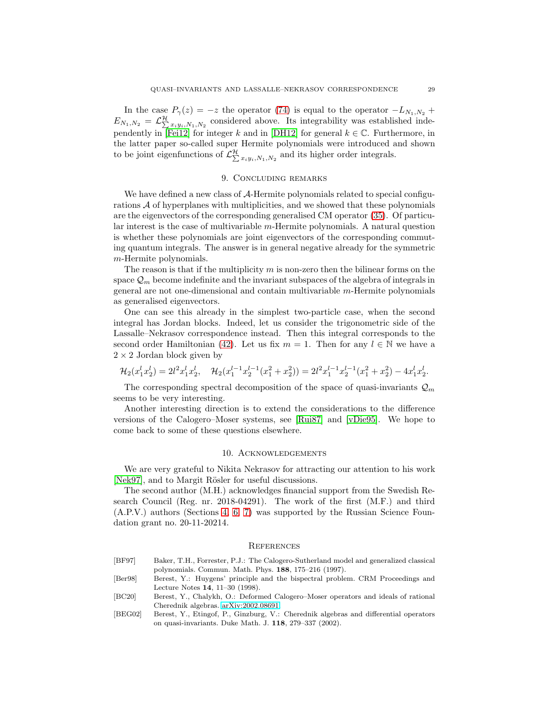In the case  $P_{\gamma}(z) = -z$  the operator [\(74\)](#page-27-1) is equal to the operator  $-L_{N_1,N_2}$  +  $E_{N_1,N_2} = \mathcal{L}_{\sum x_i y_i,N_1,N_2}^{\mathcal{H}}$  considered above. Its integrability was established inde-pendently in [\[Fei12\]](#page-29-22) for integer k and in [\[DH12\]](#page-29-24) for general  $k \in \mathbb{C}$ . Furthermore, in the latter paper so-called super Hermite polynomials were introduced and shown to be joint eigenfunctions of  $\mathcal{L}^{\mathcal{H}}_{\sum x_iy_i,N_1,N_2}$  and its higher order integrals.

## 9. Concluding remarks

We have defined a new class of A-Hermite polynomials related to special configurations A of hyperplanes with multiplicities, and we showed that these polynomials are the eigenvectors of the corresponding generalised CM operator [\(35\)](#page-10-4). Of particular interest is the case of multivariable m-Hermite polynomials. A natural question is whether these polynomials are joint eigenvectors of the corresponding commuting quantum integrals. The answer is in general negative already for the symmetric m-Hermite polynomials.

The reason is that if the multiplicity  $m$  is non-zero then the bilinear forms on the space  $\mathcal{Q}_m$  become indefinite and the invariant subspaces of the algebra of integrals in general are not one-dimensional and contain multivariable m-Hermite polynomials as generalised eigenvectors.

One can see this already in the simplest two-particle case, when the second integral has Jordan blocks. Indeed, let us consider the trigonometric side of the Lassalle–Nekrasov correspondence instead. Then this integral corresponds to the second order Hamiltonian [\(42\)](#page-13-0). Let us fix  $m = 1$ . Then for any  $l \in \mathbb{N}$  we have a  $2 \times 2$  Jordan block given by

$$
\mathcal{H}_2(x_1^l x_2^l) = 2l^2 x_1^l x_2^l, \quad \mathcal{H}_2(x_1^{l-1} x_2^{l-1} (x_1^2 + x_2^2)) = 2l^2 x_1^{l-1} x_2^{l-1} (x_1^2 + x_2^2) - 4x_1^l x_2^l.
$$

The corresponding spectral decomposition of the space of quasi-invariants  $\mathcal{Q}_m$ seems to be very interesting.

Another interesting direction is to extend the considerations to the difference versions of the Calogero–Moser systems, see [\[Rui87\]](#page-30-26) and [\[vDie95\]](#page-29-26). We hope to come back to some of these questions elsewhere.

### 10. Acknowledgements

We are very grateful to Nikita Nekrasov for attracting our attention to his work [\[Nek97\]](#page-30-5), and to Margit Rösler for useful discussions.

The second author (M.H.) acknowledges financial support from the Swedish Research Council (Reg. nr. 2018-04291). The work of the first (M.F.) and third (A.P.V.) authors (Sections [4,](#page-8-0) [6,](#page-18-0) [7\)](#page-20-0) was supported by the Russian Science Foundation grant no. 20-11-20214.

#### **REFERENCES**

- <span id="page-28-0"></span>[BF97] Baker, T.H., Forrester, P.J.: The Calogero-Sutherland model and generalized classical polynomials. Commun. Math. Phys. 188, 175–216 (1997).
- <span id="page-28-1"></span>[Ber98] Berest, Y.: Huygens' principle and the bispectral problem. CRM Proceedings and Lecture Notes 14, 11–30 (1998).
- <span id="page-28-3"></span>[BC20] Berest, Y., Chalykh, O.: Deformed Calogero–Moser operators and ideals of rational Cherednik algebras. [arXiv:2002.08691.](http://arxiv.org/abs/2002.08691)
- <span id="page-28-2"></span>[BEG02] Berest, Y., Etingof, P., Ginzburg, V.: Cherednik algebras and differential operators on quasi-invariants. Duke Math. J. 118, 279–337 (2002).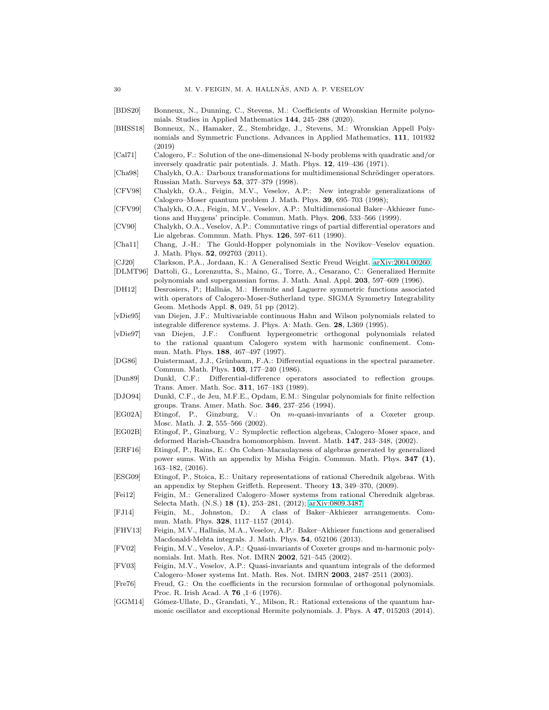- <span id="page-29-14"></span><span id="page-29-13"></span>[BDS20] Bonneux, N., Dunning, C., Stevens, M.: Coefficients of Wronskian Hermite polynomials. Studies in Applied Mathematics 144, 245–288 (2020). [BHSS18] Bonneux, N., Hamaker, Z., Stembridge, J., Stevens, M.: Wronskian Appell Polynomials and Symmetric Functions. Advances in Applied Mathematics, 111, 101932 (2019) [Cal71] Calogero, F.: Solution of the one-dimensional N-body problems with quadratic and/or inversely quadratic pair potentials. J. Math. Phys. 12, 419–436 (1971). [Cha98] Chalykh, O.A.: Darboux transformations for multidimensional Schrödinger operators. Russian Math. Surveys 53, 377–379 (1998).
- <span id="page-29-15"></span><span id="page-29-8"></span><span id="page-29-0"></span>[CFV98] Chalykh, O.A., Feigin, M.V., Veselov, A.P.: New integrable generalizations of Calogero–Moser quantum problem J. Math. Phys. 39, 695–703 (1998);
- <span id="page-29-1"></span>[CFV99] Chalykh, O.A., Feigin, M.V., Veselov, A.P.: Multidimensional Baker–Akhiezer functions and Huygens' principle. Commun. Math. Phys. 206, 533–566 (1999).
- <span id="page-29-2"></span>[CV90] Chalykh, O.A., Veselov, A.P.: Commutative rings of partial differential operators and Lie algebras. Commun. Math. Phys. 126, 597–611 (1990).
- <span id="page-29-5"></span>[Cha11] Chang, J.-H.: The Gould-Hopper polynomials in the Novikov–Veselov equation. J. Math. Phys. 52, 092703 (2011).
- <span id="page-29-20"></span>[CJ20] Clarkson, P.A., Jordaan, K.: A Generalised Sextic Freud Weight. [arXiv:2004.00260.](http://arxiv.org/abs/2004.00260)
- <span id="page-29-6"></span>[DLMT96] Dattoli, G., Lorenzutta, S., Maino, G., Torre, A., Cesarano, C.: Generalized Hermite polynomials and supergaussian forms. J. Math. Anal. Appl. 203, 597–609 (1996).
- <span id="page-29-24"></span>[DH12] Desrosiers, P.; Hallnäs, M.: Hermite and Laguerre symmetric functions associated with operators of Calogero-Moser-Sutherland type. SIGMA Symmetry Integrability Geom. Methods Appl. 8, 049, 51 pp (2012).
- <span id="page-29-26"></span>[vDie95] van Diejen, J.F.: Multivariable continuous Hahn and Wilson polynomials related to integrable difference systems. J. Phys. A: Math. Gen. 28, L369 (1995).
- <span id="page-29-4"></span>[vDie97] van Diejen, J.F.: Confluent hypergeometric orthogonal polynomials related to the rational quantum Calogero system with harmonic confinement. Commun. Math. Phys. 188, 467–497 (1997).
- <span id="page-29-7"></span>[DG86] Duistermaat, J.J., Grünbaum, F.A.: Differential equations in the spectral parameter. Commun. Math. Phys. 103, 177–240 (1986).
- <span id="page-29-16"></span>[Dun89] Dunkl, C.F.: Differential-difference operators associated to reflection groups. Trans. Amer. Math. Soc. 311, 167–183 (1989).
- <span id="page-29-18"></span>[DJO94] Dunkl, C.F., de Jeu, M.F.E., Opdam, E.M.: Singular polynomials for finite relfection groups. Trans. Amer. Math. Soc. 346, 237–256 (1994).
- <span id="page-29-10"></span>[EG02A] Etingof, P., Ginzburg, V.: On m-quasi-invariants of a Coxeter group. Mosc. Math. J. 2, 555–566 (2002).
- <span id="page-29-17"></span>[EG02B] Etingof, P., Ginzburg, V.: Symplectic reflection algebras, Calogero–Moser space, and deformed Harish-Chandra homomorphism. Invent. Math. 147, 243–348, (2002).
- <span id="page-29-25"></span>[ERF16] Etingof, P., Rains, E.: On Cohen–Macaulayness of algebras generated by generalized power sums. With an appendix by Misha Feigin. Commun. Math. Phys. 347 (1), 163–182, (2016).
- <span id="page-29-23"></span>[ESG09] Etingof, P., Stoica, E.: Unitary representations of rational Cherednik algebras. With an appendix by Stephen Griffeth. Represent. Theory 13, 349–370, (2009).
- <span id="page-29-22"></span>[Fei12] Feigin, M.: Generalized Calogero–Moser systems from rational Cherednik algebras. Selecta Math. (N.S.) 18 (1), 253–281, (2012); [arXiv:0809.3487.](http://arxiv.org/abs/0809.3487)
- <span id="page-29-9"></span>[FJ14] Feigin, M., Johnston, D.: A class of Baker–Akhiezer arrangements. Commun. Math. Phys. 328, 1117–1157 (2014).
- <span id="page-29-12"></span>[FHV13] Feigin, M.V., Hallnäs, M.A., Veselov, A.P.: Baker–Akhiezer functions and generalised Macdonald-Mehta integrals. J. Math. Phys. 54, 052106 (2013).
- <span id="page-29-3"></span>[FV02] Feigin, M.V., Veselov, A.P.: Quasi-invariants of Coxeter groups and m-harmonic polynomials. Int. Math. Res. Not. IMRN 2002, 521–545 (2002).
- <span id="page-29-11"></span>[FV03] Feigin, M.V., Veselov, A.P.: Quasi-invariants and quantum integrals of the deformed Calogero–Moser systems Int. Math. Res. Not. IMRN 2003, 2487–2511 (2003).
- <span id="page-29-19"></span>[Fre76] Freud, G.: On the coefficients in the recursion formulae of orthogonal polynomials. Proc. R. Irish Acad. A 76 ,1–6 (1976).
- <span id="page-29-21"></span>[GGM14] Gómez-Ullate, D., Grandati, Y., Milson, R.: Rational extensions of the quantum harmonic oscillator and exceptional Hermite polynomials. J. Phys. A 47, 015203 (2014).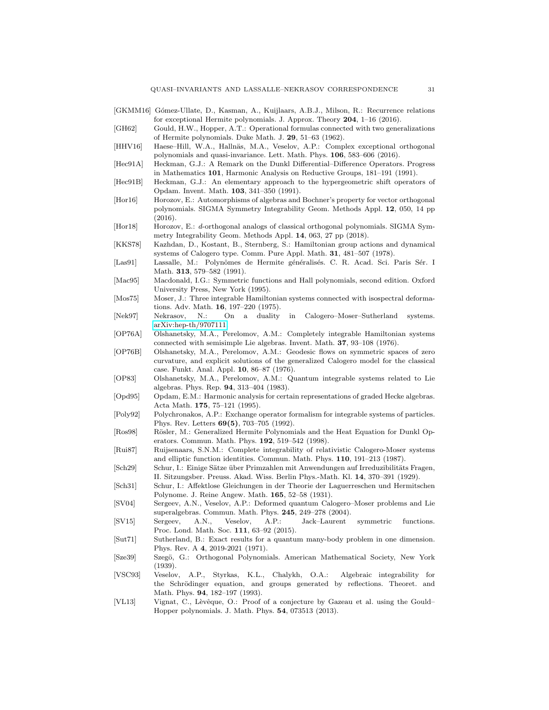- <span id="page-30-25"></span>[GKMM16] Gómez-Ullate, D., Kasman, A., Kuijlaars, A.B.J., Milson, R.: Recurrence relations for exceptional Hermite polynomials. J. Approx. Theory 204, 1–16 (2016).
- <span id="page-30-10"></span>[GH62] Gould, H.W., Hopper, A.T.: Operational formulas connected with two generalizations of Hermite polynomials. Duke Math. J. 29, 51–63 (1962).
- <span id="page-30-16"></span>[HHV16] Haese–Hill, W.A., Hallnäs, M.A., Veselov, A.P.: Complex exceptional orthogonal polynomials and quasi-invariance. Lett. Math. Phys. 106, 583–606 (2016).
- <span id="page-30-24"></span>[Hec91A] Heckman, G.J.: A Remark on the Dunkl Differential–Difference Operators. Progress in Mathematics 101, Harmonic Analysis on Reductive Groups, 181–191 (1991).
- <span id="page-30-18"></span>[Hec91B] Heckman, G.J.: An elementary approach to the hypergeometric shift operators of Opdam. Invent. Math. 103, 341–350 (1991).
- <span id="page-30-22"></span>[Hor16] Horozov, E.: Automorphisms of algebras and Bochner's property for vector orthogonal polynomials. SIGMA Symmetry Integrability Geom. Methods Appl. 12, 050, 14 pp (2016).
- <span id="page-30-23"></span>[Hor18] Horozov, E.: d-orthogonal analogs of classical orthogonal polynomials. SIGMA Symmetry Integrability Geom. Methods Appl. 14, 063, 27 pp (2018).
- <span id="page-30-6"></span>[KKS78] Kazhdan, D., Kostant, B., Sternberg, S.: Hamiltonian group actions and dynamical systems of Calogero type. Comm. Pure Appl. Math. 31, 481–507 (1978).
- <span id="page-30-7"></span>[Las91] Lassalle, M.: Polynômes de Hermite généralisés. C. R. Acad. Sci. Paris Sér. I Math. 313, 579–582 (1991).
- <span id="page-30-21"></span>[Mac95] Macdonald, I.G.: Symmetric functions and Hall polynomials, second edition. Oxford University Press, New York (1995).
- <span id="page-30-1"></span>[Mos75] Moser, J.: Three integrable Hamiltonian systems connected with isospectral deformations. Adv. Math. 16, 197–220 (1975).
- <span id="page-30-5"></span>[Nek97] Nekrasov, N.: On a duality in Calogero–Moser–Sutherland systems. [arXiv:hep-th/9707111.](http://arxiv.org/abs/hep-th/9707111)
- <span id="page-30-2"></span>[OP76A] Olshanetsky, M.A., Perelomov, A.M.: Completely integrable Hamiltonian systems connected with semisimple Lie algebras. Invent. Math. 37, 93–108 (1976).
- <span id="page-30-4"></span>[OP76B] Olshanetsky, M.A., Perelomov, A.M.: Geodesic flows on symmetric spaces of zero curvature, and explicit solutions of the generalized Calogero model for the classical case. Funkt. Anal. Appl. 10, 86–87 (1976).
- <span id="page-30-3"></span>[OP83] Olshanetsky, M.A., Perelomov, A.M.: Quantum integrable systems related to Lie algebras. Phys. Rep. 94, 313–404 (1983).
- <span id="page-30-20"></span>[Opd95] Opdam, E.M.: Harmonic analysis for certain representations of graded Hecke algebras. Acta Math. 175, 75–121 (1995).
- <span id="page-30-17"></span>[Poly92] Polychronakos, A.P.: Exchange operator formalism for integrable systems of particles. Phys. Rev. Letters 69(5), 703–705 (1992).
- <span id="page-30-8"></span>[Ros98] Rösler, M.: Generalized Hermite Polynomials and the Heat Equation for Dunkl Operators. Commun. Math. Phys. 192, 519–542 (1998).
- <span id="page-30-26"></span>[Rui87] Ruijsenaars, S.N.M.: Complete integrability of relativistic Calogero-Moser systems and elliptic function identities. Commun. Math. Phys. 110, 191–213 (1987).
- <span id="page-30-14"></span>[Sch29] Schur, I.: Einige Sätze über Primzahlen mit Anwendungen auf Irreduzibilitäts Fragen, II. Sitzungsber. Preuss. Akad. Wiss. Berlin Phys.-Math. Kl. 14, 370–391 (1929).
- <span id="page-30-15"></span>[Sch31] Schur, I.: Affektlose Gleichungen in der Theorie der Laguerreschen und Hermitschen Polynome. J. Reine Angew. Math. 165, 52–58 (1931).
- <span id="page-30-12"></span>[SV04] Sergeev, A.N., Veselov, A.P.: Deformed quantum Calogero–Moser problems and Lie superalgebras. Commun. Math. Phys. 245, 249–278 (2004).
- <span id="page-30-19"></span>[SV15] Sergeev, A.N., Veselov, A.P.: Jack–Laurent symmetric functions. Proc. Lond. Math. Soc. 111, 63–92 (2015).
- <span id="page-30-0"></span>[Sut71] Sutherland, B.: Exact results for a quantum many-body problem in one dimension. Phys. Rev. A 4, 2019-2021 (1971).
- <span id="page-30-9"></span>[Sze39] Szegö, G.: Orthogonal Polynomials. American Mathematical Society, New York (1939).
- <span id="page-30-13"></span>[VSC93] Veselov, A.P., Styrkas, K.L., Chalykh, O.A.: Algebraic integrability for the Schrödinger equation, and groups generated by reflections. Theoret. and Math. Phys. 94, 182–197 (1993).
- <span id="page-30-11"></span>[VL13] Vignat, C., Lèvêque, O.: Proof of a conjecture by Gazeau et al. using the Gould– Hopper polynomials. J. Math. Phys. 54, 073513 (2013).